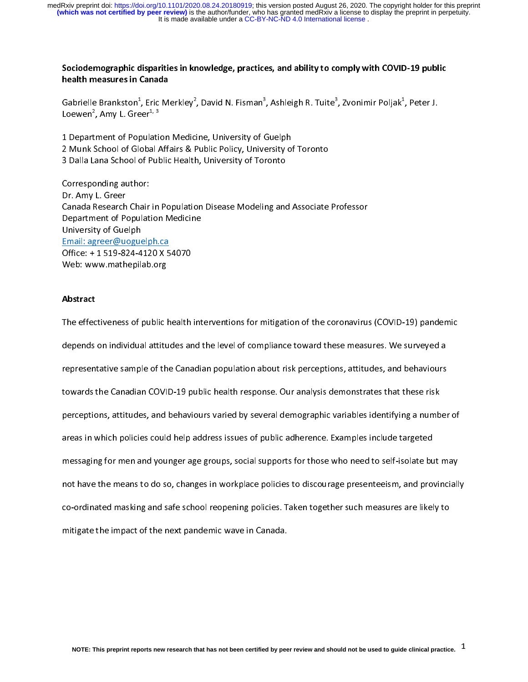It is made available under a [CC-BY-NC-ND 4.0 International license](http://creativecommons.org/licenses/by-nc-nd/4.0/) . **(which was not certified by peer review)** is the author/funder, who has granted medRxiv a license to display the preprint in perpetuity. medRxiv preprint doi: [https://doi.org/10.1101/2020.08.24.20180919;](https://doi.org/10.1101/2020.08.24.20180919) this version posted August 26, 2020. The copyright holder for this preprint

### Sociodemographic disparities in knowledge, practices, and ability to comply with COVID-19 public health measures in Canada

Gabrielle Brankston<sup>1</sup>, Eric Merkley<sup>2</sup>, David N. Fisman<sup>3</sup>, Ashleigh R. Tuite<sup>3</sup>, Zvonimir Poljak<sup>1</sup>, Peter J. Loewen<sup>2</sup>, Amy L. Greer<sup>1, 3</sup> , Zvonimir Poljak<sup>+</sup><br>|<br>| , Peter J.

, Eric Merkley<sup>2</sup>, David N. Fisman<sup>3</sup><br>er<sup>1, 3</sup><br>pulation Medicine, University of C<br>pbal Affairs & Public Policy, Unive<br>of Public Health, University of Tor 2 Munk School of Global Affairs & Public Policy, University of Toronto Loewen", Amy L. Greer\*<sup>, 3</sup><br>1 Department of Population<br>2 Munk School of Global A<br>3 Dalla Lana School of Puk<br>Corresponding outbor:  $\overline{\phantom{a}}$ 

3 Dalla Lana School of Public Health, University of Toronto<br>Corresponding author:<br>Dr. Amy L. Greer 3 Dalla Lana School of Public Health, University of Toronto<br>Corresponding author:<br>Dr. Amy L. Greer<br>Canada Research Chair in Population Disease Modeling and Associate<br>Department of Population Modisine Sorresponding author:<br>2 Dr. Amy L. Greer<br>Canada Research Chair in Population Disease Modeling and<br>Department of Population Medicine くーくーしょ Dr. Amy L. Greer<br>Dr. Amy L. Greer<br>Canada Research Chair<br>Department of Populat<br>University of Guelph<br>Email: agreer@uoguelp Canada Research<br>Department of Po<br>University of Gue<br><u>Email: agreer@uu</u><br>Office: + 1 519-82 Department of Population Medicine<br>University of Guelph<br>Email: agreer@uoguelph.ca<br>Office: + 1 519-824-4120 X 54070<br>Web: www.mathepilab.org University of Guelph<br><u>Email: agreer@uoguelph.ca</u><br>Office: + 1 519-824-4120 X 54070 Email: agreer@uogue<br>
Office: + 1 519-824-4<br>
Web: www.mathepili<br>
Abstrast Email: 2008.<br>Office: + 1 519-824-4120 X 5<br>Web: www.mathepilab.org<br>Abstract Office: HITTLE TELEVISION:<br>Web: www.mathepilab.org<br>Abstract

#### Abstract

The effectiveness of public health interventions for mitigation of the coronavirus (COVID-19) pandemic  $\begin{array}{c} \n\bullet \\
\bullet \\
\bullet\n\end{array}$  $\frac{1}{1}$ The effectiveness of public and the level of compliance toward these measures. We surveyed a<br>representative sample of the Canadian population about risk perceptions, attitudes, and behaviours<br>towards the Canadian COVID-19 depresentative sample of the Canadian population about risk perceptions, attitudes, and behaviours<br>towards the Canadian COVID-19 public health response. Our analysis demonstrates that these risk<br>perceptions attitudes and b towards the Canadian COVID-19 public health response. Our analysis demonstrates that these risk<br>perceptions, attitudes, and behaviours varied by several demographic variables identifying a numb<br>areas in which policies coul perceptions, attitudes, and behaviours varied by several demographic variables identifying a number of messaging for men and younger age groups, social supports for those who need to self-isolate but may not have the means to do so, changes in workplace policies to discourage presenteeism, and provincially mot have the means to do so, changes in workplace policies to discourage presenteeism, and provinciall<br>co-ordinated masking and safe school reopening policies. Taken together such measures are likely to<br>mitigate the import co-ordinated masking and safe school reopening policies. Taken together such measures are likely to mitigate the impact of the next pandemic wave in Canada. co-ordinated masking and safe school reoperation, policies. Taken together such measures are likely to<br>mitigate the impact of the next pandemic wave in Canada. mitigate the impact of the next pandemic wave in Canada.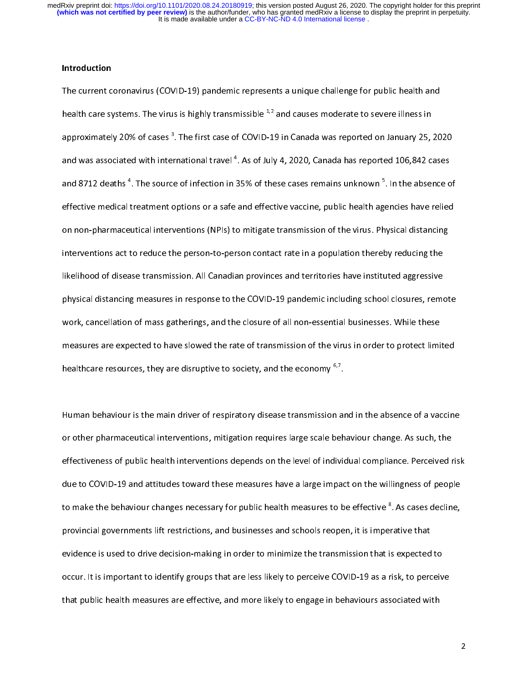#### Introduction

The current coronavirus (COVID-19) pandemic represents a unique challenge for public health and<br>health care systems. The virus is highly transmissible  $1,2$  and causes moderate to severe illness in approximately 20% of cases<sup>3</sup>. The first case of COVID-19 in Canada was reported on January 25, 2020 and was associated with international travel  $4$ . As of July 4, 2020, Canada has reported 106,842 cases mational travel <sup>4</sup>. As of July 4, 2020, Canada has reported 106,842 cases<br>e of infection in 35% of these cases remains unknown <sup>5</sup>. In the absence of and was associated with international travel <sup>+</sup>. As of July 4, 2020, Canada has reported 106,842 cases<br>and 8712 deaths <sup>4</sup>. The source of infection in 35% of these cases remains unknown <sup>5</sup>. In the absence of<br>effective me and 8712 deaths <sup>+</sup>. The source of infection in 35% of these cases remains unknown <sup>-</sup>. In the absence of<br>effective medical treatment options or a safe and effective vaccine, public health agencies have relied<br>on non-pharm on non-pharmaceutical interventions (NPIs) to mitigate transmission of the virus. Physical distancing<br>interventions act to reduce the person-to-person contact rate in a population thereby reducing the likelihood of disease transmission. All Canadian provinces and territories have instituted aggressive interventions act to reduce the person-to-person-to-person-to-person-to-person-to-person-to-person-<br>likelihood of disease transmission. All Canadian provinces and territories have instituted aggressive<br>physical distancing physical distancing measures in response to the COVID-19 pandemic including school closures, remo<br>work, cancellation of mass gatherings, and the closure of all non-essential businesses. While these<br>measures are expected to physical distancellation of mass gatherings, and the closure of all non-essential businesses. While these<br>measures are expected to have slowed the rate of transmission of the virus in order to protect limited<br>healtheens r measures are expected to have slowed the rate of transmission of the virus in order to protect limited these sessential business are expected to have slowed the rate of transmission of the virus in order to protect limited healthcare resources, they are disruptive to society, and the economy  $67$ .

Human behaviour is the main driver of respiratory disease transmission and in the absence of a vaccine  $\begin{bmatrix} 1 \\ 2 \end{bmatrix}$ or other pharmaceutical interventions, mitigation requires large scale behaviour change. As such, the<br>effectiveness of public health interventions depends on the level of individual compliance. Perceived risl<br>due to COVIDeffectiveness of public health interventions depends on the level of individual compliance. Perceived risk due to COVID-19 and attitudes toward these measures have a large impact on the willingness of people<br>to make the behaviour changes necessary for public health measures to be effective <sup>8</sup>. As cases decline, to make the behaviour changes necessary for public health measures to be effective <sup>8</sup>. As cases decline,<br>provincial governments lift restrictions, and businesses and schools reopen, it is imperative that provincial governments lift restrictions, and businesses and schools reopen, it is imperative that Extra cases decline,<br>ative that<br>s expected to<br>ick, to norselve providence is used to drive decision-making in order to minimize the transmission that is expected<br>occur. It is important to identify groups that are less likely to perceive COVID-19 as a risk, to percent<br>that public healt occur. It is important to identify groups that are less likely to perceive COVID-19 as a risk, to perceive that public health measures are effective, and more likely to engage in behaviours associated with that public health measures are effective, and more likely to engage in behaviours associated with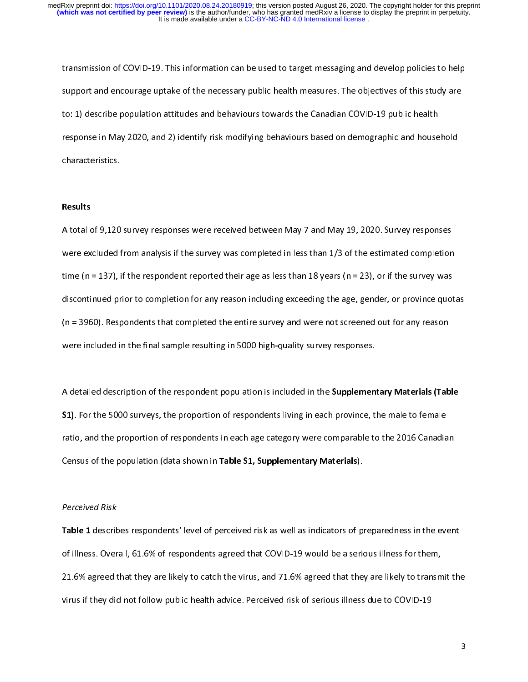transmission of COVID-19. This information can be used to target messaging and develop policies to help<br>support and encourage uptake of the necessary public health measures. The objectives of this study are<br>to: 1) describe support and the necessary of the necessary of the necessary public health<br>to: 1) describe population attitudes and behaviours towards the Canadian COVID-19 public health<br>response in May 2020, and 2) identify risk modifying total, at the population attitudes and behaviours to cancelate the Canadian COVID-19 public health<br>response in May 2020, and 2) identify risk modifying behaviours based on demographic and house<br>characteristics. response in May 2020, and 2) identify risk motyning behaviours based on demographic and householder<br>characteristics.

#### Results

Results<br>A total of 0.120  $\begin{bmatrix} 1 \\ 1 \end{bmatrix}$ A total of 9,120 survey responses were received between May 7 and May 19, 2020. Survey responses<br>were excluded from analysis if the survey was completed in less than 1/3 of the estimated completion<br>time (n = 137), if the time (n = 137), if the respondent reported their age as less than 18 years (n = 23), or if the survey was<br>discontinued prior to completion for any reason including exceeding the age, gender, or province quot<br>(n = 2060). B time (n = 3960). Respondents that completed the entire survey and were not screened out for any reason<br>
were included in the final sample resulting in 5000 bigh surlives uses included in the final sample resulting in 5000  $(n = 3960)$ . Respondents that completed the entire survey and were not screened out for any reason were included in the final sample resulting in 5000 high-quality survey responses.

A detailed description of the respondent population is included in the **Supplementary Materials (Table**<br>**S1)**. For the 5000 surveys, the proportion of respondents living in each province, the male to female  $\frac{1}{2}$ A detailed description of the respondent population is included in the **Supplementary Materials (Table 51)**. For the 5000 surveys, the proportion of respondents living in each province, the male to female ratio, and the pr S1). For the 5000 surveys, the proportion of respondents living in each province, the male to female<br>ratio, and the proportion of respondents in each age category were comparable to the 2016 Canadia<br>Census of the populatio ratio, and the proportion of response in each age category were comparable to the 2016 Canadian<br>Census of the population (data shown in Table S1, Supplementary Materials).<br>Perseived Rick Census of the population (data shown in Table S1, Supplementary Materials).<br>Perceived Risk<br>Table 1 decesibes respondents' lovel of perseived risk as well as indicators of m

### Perceived Risk

 $\begin{array}{c} \n\frac{1}{2} & \frac{1}{2} \\ \n\frac{1}{2} & \frac{1}{2} \\ \n\frac{1}{2} & \frac{1}{2} \\ \n\frac{1}{2} & \frac{1}{2} \\ \n\frac{1}{2} & \frac{1}{2} \\ \n\frac{1}{2} & \frac{1}{2} \\ \n\frac{1}{2} & \frac{1}{2} \\ \n\frac{1}{2} & \frac{1}{2} \\ \n\frac{1}{2} & \frac{1}{2} \\ \n\frac{1}{2} & \frac{1}{2} \\ \n\frac{1}{2} & \frac{1}{2} \\ \n\frac{1}{2} & \frac{1}{$ Table 1 describes respondents' level of perceived risk as well as indicators of preparedness in the event<br>of illness. Overall, 61.6% of respondents agreed that COVID-19 would be a serious illness for them, 21.6% agreed that they are likely to catch the virus, and 71.6% agreed that they are likely to transmit the virus if they did not follow public health advice. Perceived risk of serious illness due to COVID-19<br>3 virus if they did not follow public health advice. Perceived risk of serious illness due to COVID-19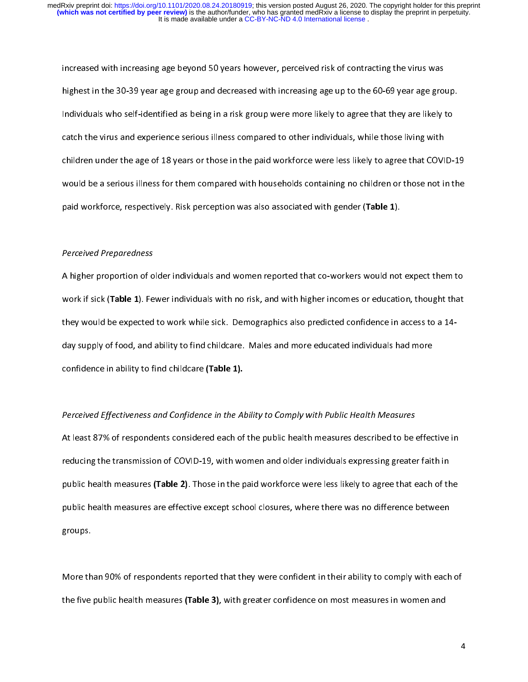increased with increasing age beyond 50 years however, perceived risk of contracting the virus was<br>highest in the 30-39 year age group and decreased with increasing age up to the 60-69 year age group.<br>Individuals who self-Individuals who self-identified as being in a risk group were more likely to agree that they are likely to<br>catch the virus and experience serious illness compared to other individuals, while those living with<br>children upda Individuals who self-identified as being in a risk group were more more vagic self-identified, as a catch the virus and experience serious illness compared to other individuals, while those living with children under the a children under the age of 18 years or those in the paid workforce were less likely to agree that COVID-19 would be a serious illness for them compared with households containing no children or those not in the paid workforce, respectively. Risk perception was also associated with gender (Table 1).

#### Perceived Preparedness

paid workforce, respectively. Risk perception was also associated with gender (Table 1).<br>Perceived Preparedness<br>A higher grenortion of older individuals and women reported that so werkers would not work if sick (Table 1). Fewer individuals with no risk, and with higher incomes or education, thought that<br>they would be expected to work while sick. Demographics also predicted confidence in access to a 14-<br>day supply of work if sick (Table 1). Fewer individuals with no risk, and with higher incomes or education, thought that<br>they would be expected to work while sick. Demographics also predicted confidence in access to a 14-<br>day supply of day supply of food, and ability to find childcare. Males and more educated individuals had more<br>confidence in ability to find childcare (Table 1). confidence in ability to find childcare (Table 1).<br>
Description of footiveness and Confidence in the Ability to Comply with Bublie Health Moreyres.

# confidence in ability to find childcare (Table 1).<br>Perceived Effectiveness and Confidence in the Al Perceived Effectiveness and Confidence in the Ability to Comply with Public Health Measures

At least 87% of respondents considered each of the public health measures described to be effective in<br>reducing the transmission of COVID-19, with women and older individuals expressing greater faith in<br>public health measu public health measures (Table 2). Those in the paid workforce were less likely to agree that each of the public health measures are effective except school closures, where there was no difference between public health measures (Table 2). Those in the paid workforce were less likely to agree that each of the<br>public health measures are effective except school closures, where there was no difference between<br>groups. public health measure are effective except school closures, where there was no difference between the measures<br>groups.<br>More than 90% of reconordents reported that they were confident in their ability to comply with each groups.<br>More than 90% of respondents reported that they were confident in their ability to comply with each of

 $\frac{1}{1}$ the five public health measures **(Table 3)**, with greater confidence on most measures in women and<br>4 the five public health measures (Table 3), with greater confidence on most measures in women and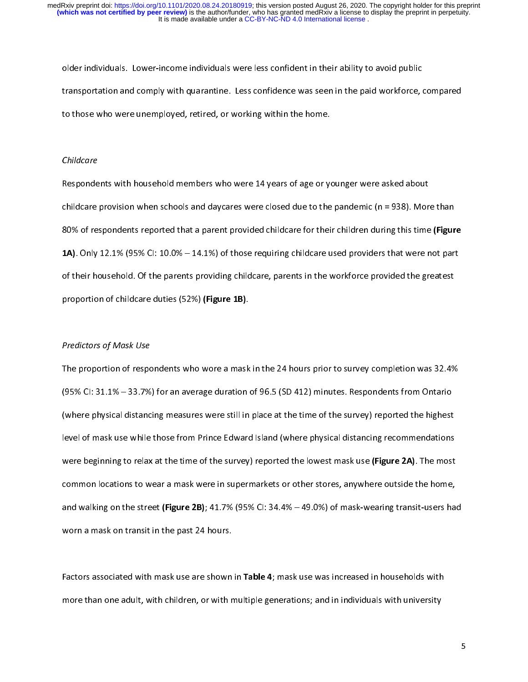older individuals. Lower-income individuals were less confident in their ability to avoid public<br>transportation and comply with quarantine. Less confidence was seen in the paid workforce, compared<br>to those who were unemplo to those who were unemployed, retired, or working within the home.<br>Children

#### Childcare

to these who were undergoing to those who were all verses fore or w<br>Childcare<br>Becannelasts with beyophold members who were 14 verses fore or w Respondents with household members who were 14 years of age or younger were asked about<br>childcare provision when schools and daycares were closed due to the pandemic (n = 938). More than<br>80% of respondents reported that a 80% of respondents reported that a parent provided childcare for their children during this time (Figure 80% of respondents reported that a parent provided childcare for their children during this time (Figure<br>1A). Only 12.1% (95% Cl: 10.0% – 14.1%) of those requiring childcare used providers that were not part<br>of their house 1A). Only 12.1% (95% CI: 10.0% – 14.1%) of those requiring childcare used providers that were not part<br>of their household. Of the parents providing childcare, parents in the workforce provided the greatest<br>proportion of ch proportion of childcare duties (52%) **(Figure 1B)**.

# proportion of childcare duties (52%) (Figure 1B).<br>Predictors of Mask Use<br>The preportion of recognisation who were a mask Predictors of Mask Use

 $\begin{array}{c} \n\frac{1}{2} \quad \text{and} \quad \frac{1}{2} \quad \text{and} \quad \frac{1}{2} \quad \text{and} \quad \frac{1}{2} \quad \text{and} \quad \frac{1}{2} \quad \text{and} \quad \frac{1}{2} \quad \text{and} \quad \frac{1}{2} \quad \text{and} \quad \frac{1}{2} \quad \text{and} \quad \frac{1}{2} \quad \text{and} \quad \frac{1}{2} \quad \text{and} \quad \frac{1}{2} \quad \text{and} \quad \frac{1}{2} \quad \text{and} \quad \frac{1}{2} \quad \text{and} \quad \frac{$ The proportion of 95% CI: 31.1% – 33.7%) for an average duration of 96.5 (SD 412) minutes. Respondents from Ontario<br>(where physical distancing measures were still in place at the time of the survey) reported the highest<br>le (95%) for an average duration of 95% (35%) minutes. Response to 96% CII: 31.1% CII: 41.1% (1964) (1964) (1975)<br>Ievel of mask use while those from Prince Edward Island (where physical distancing recommendations<br>In the proce level of mask use while those from Prince Edward Island (where physical distancing recommendations<br>were beginning to relax at the time of the survey) reported the lowest mask use (Figure 2A). The most common locations to wear a mask were in supermarkets or other stores, anywhere outside the home, common locations to wear a mask were in supermarkets or other stores, anywhere outside the home,<br>and walking on the street (Figure 2B); 41.7% (95% Cl: 34.4% – 49.0%) of mask-wearing transit-users had common locations to walking on the street **(Figure 2B)**; 41.7% (95% Cl: 34.4% – 49.0%) of mask-wearing transit-users hat<br>worn a mask on transit in the past 24 hours. and walking on the street (Figure 2B); 41.7% (95% CI: 34.4% – 49.0%) of mask-wearing transit-users had<br>worn a mask on transit in the past 24 hours.<br>Factors associated with mask-use are shown in Table 4: mask-use was increa worn a mask on transit in the past 24 hours.<br>Factors associated with mask use are shown in **Table 4**; mask use was increased in households with

|<br>|<br>| more than one adult, with children, or with multiple generations; and in individuals with university more than one adult, with children, or with multiple generations; and in individuals with university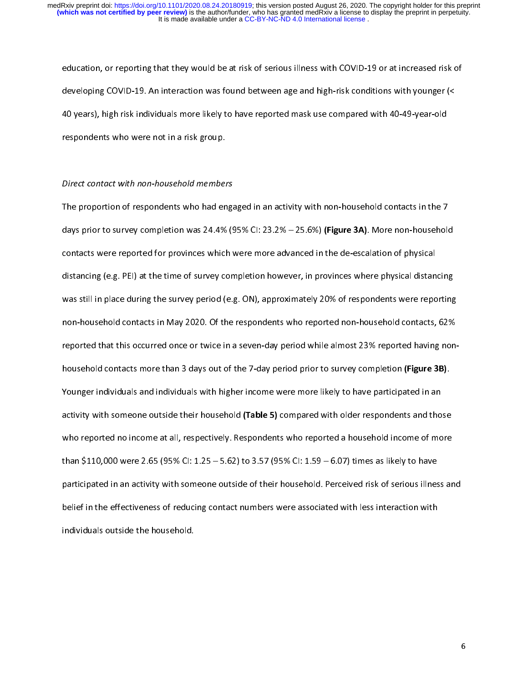education, or reporting that they would be at risk of serious interest with a serious with younger (<<br>developing COVID-19. An interaction was found between age and high-risk conditions with younger (<<br>40 years), high risk developeration COVID-19. An interaction was found to the vertex of the series of the series of the spondents who were not in a risk group.<br>The spondents who were not in a risk group. 10 years), high risk individuals more likely to have reported mask use compared mask use year-old<br>respondents who were not in a risk group.<br>Direct contact with non-bousehold mambars.

## respondents who were not in a risk group.<br>Direct contact with non-household member<br>The prepertien of respondents who had an Direct contact with non-household members

 $\begin{bmatrix} 1 \\ 1 \end{bmatrix}$ The proportion of respondents who had engaged in an activity with non-household contacts in the 7<br>days prior to survey completion was 24.4% (95% CI: 23.2% – 25.6%) (Figure 3A). More non-household<br>contacts were reported for days prior to survey completion was 24.4% (95% CI: 23.2% – 25.6%) (Figure 3A). More non-household<br>contacts were reported for provinces which were more advanced in the de-escalation of physical<br>distancing (e.g. PEI) at the distancing (e.g. PEI) at the time of survey completion however, in provinces where physical distan<br>was still in place during the survey period (e.g. ON), approximately 20% of respondents were repo<br>non-household sentests in was still in place during the survey period (e.g. ON), approximately 20% of respondents were reporting<br>non-household contacts in May 2020. Of the respondents who reported non-household contacts, 62% was still in the survey of the survey period on-household contacts, 62% on-household contacts and the survey period while almost 23% reported having non-<br>household contacts mere than 3 days sut of the 3 days period while a non-household that this occurred once or twice in a seven-day period while almost 23% reported having non-<br>household contacts more than 3 days out of the 7-day period prior to survey completion (Figure 3B).<br>Nounces individ cativity with comeone outside their household (Table E) compared with alder respondents and these Household contacts more than 3 days out of the 7-day period prior to survey completion (Figure 3B).<br>Younger individuals and individuals with higher income were more likely to have participated in an<br>activity with someone o activity with someone outside their household (Table 5) compared with older respondents and tho<br>who reported no income at all, respectively. Respondents who reported a household income of mo<br>than \$110,000 wass 3.65 (05% Cl who reported no income at all, respectively. Respondents who reported a household income of more<br>than \$110,000 were 2.65 (95% Cl: 1.25 – 5.62) to 3.57 (95% Cl: 1.59 – 6.07) times as likely to have participated in an activity with someone outside of their household. Perceived risk of serious illness and participated in an activity with someone outside of their household. Perceived risk of serious illnes<br>belief in the effectiveness of reducing contact numbers were associated with less interaction with<br>individuals autside t participated in the effectiveness of reducing contact numbers were associated with less interaction with someone<br>individuals outside the household. belief in the effectiveness of reducing contact numbers with less interaction with less interaction with<br>individuals outside the household.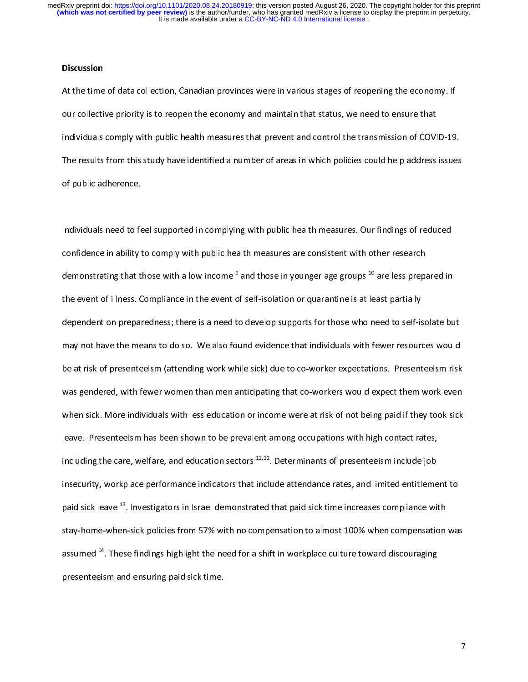#### **Discussion**

At the time our collective priority is to reopen the economy and maintain that status, we need to ensure that<br>
individuals comply with public health measures that prevent and control the transmission of COVID-19<br>
The resul our concentrative priority is to reopert the economy and maintain that status, we need to entail maintain<br>individuals comply with public health measures that prevent and control the transmission of COVI<br>The results from th The results from this study have identified a number of areas in which policies could help address issues<br>of public adherence. The results from the results for this study have identified a number of an international help and the food supported in completing with public health measures. Our findings of reduced

Individuals need to feel supported in complying with public health measures. Our findings of reduced<br>confidence in ability to comply with public health measures are consistent with other research Individuals need to feel supported in complying with public health measures are consistent with other research<br>demonstrating that those with a low income <sup>9</sup> and those in younger age groups <sup>10</sup> are less prepared in<br>the ov demonstrating that those with a low income <sup>9</sup> and those in younger age groups <sup>10</sup> are less preparties are consistent with other research demonstrating that those with a low income <sup>9</sup> and those in younger age groups <sup>10</sup> demonstrating that those with a low income <sup>3</sup> and those in younger age groups <sup>10</sup> are less prepared in<br>the event of illness. Compliance in the event of self-isolation or quarantine is at least partially<br>dependent on prep the event of interests. The event of the evelop supports for those who need to self-is<br>the event of the event of the event of self-isolation or quark partially due to self-isolation or the event of<br>the extrick of at second may not have the means to do so. We also found evidence that individuals with fewer resources would<br>be at risk of presenteeism (attending work while sick) due to co-worker expectations. Presenteeism risk<br>was gendered, with be at risk of presenteeism (attending work while sick) due to co-worker expectations. Presenteeism risk be at risk of presenteeism have attending that co-workers would expect them work even<br>when sick. More individuals with less education or income were at risk of not being paid if they took sick<br>leave. Presenteeism has been when sick. More individuals with less education or income were at risk of not being paid if they took sick<br>leave. Presenteeism has been shown to be prevalent among occupations with high contact rates,<br>including the case, w leave. Presenteeism has been shown to be prevalent among occupations with high contact rates,<br>including the care, welfare, and education sectors <sup>11,12</sup>. Determinants of presenteeism include job<br>incontrity, werkplace perfo including the care, welfare, and education sectors <sup>11,12</sup>. Determinants of presenteeism include job<br>insecurity, workplace performance indicators that include attendance rates, and limited entitleme<br>maid sink loove <sup>13</sup>. I insecurity, workplace performance indicators that include attendance rates, and limited entitlement to<br>paid sick leave <sup>13</sup>. Investigators in Israel demonstrated that paid sick time increases compliance with stay-home-when-sick policies from 57% with no compensation to almost 100% when compensation was paid sick leave <sup>25</sup>. Investigators in Israel demonstrated that paid sick time increases compliance with<br>stay-home-when-sick policies from 57% with no compensation to almost 100% when compensation<br>assumed <sup>14</sup>. These findi state <sup>14</sup>. These findings highlight the need for a shift in workplace culture toward discouraging<br>presenteeism and ensuring paid sick time. assumed 14. These findings highlight the need for a shift in workplace culture toward discouraging presenteeism and ensuring paid sick time.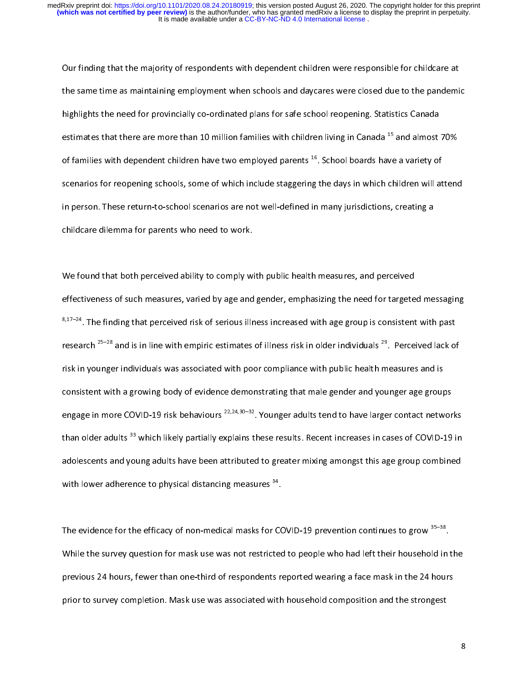Our finding that the majority of respondents with dependent children were responsible for childcare at<br>the same time as maintaining employment when schools and daycares were closed due to the pandemic<br>highlights the need f the same time are of the same time are more than 10 million families with children living in Canada<sup>15</sup> and almost 70%<br>And destimates that there are more than 10 million families with children living in Canada<sup>15</sup> and almo highlights the need for provincially co-ordinated plans for same structure pening. Statistics cannot<br>estimates that there are more than 10 million families with children living in Canada<sup>15</sup> and almost<br>of families with dep of families with dependent children have two employed parents  $^{16}$ . School boards have a variety of scenarios for reopening schools, some of which include staggering the days in which children will attend<br>in person. These return-to-school scenarios are not well-defined in many jurisdictions, creating a<br>childcare dilemma in person. These return-to-school scenarios are not well-defined in many jurisdictions, creating a in person. The contract return-to-school school school school school school school school school school school school school school school school are not well-defined in many jurisdictions, and are not personnel with a sch

We found that both perceived ability to comply with public health measures, and perceived<br>effectiveness of such measures, varied by age and gender, emphasizing the need for targeted messaging 、<br>∈<br>⊱  $8,17-24$ . The finding that perceived risk of serious illness increased with age group is consistent with past  $e^{8,17-24}$ . The finding that perceived risk of serious illness increased with age group is consistent with past<br>research  $^{25-28}$  and is in line with empiric estimates of illness risk in older individuals  $^{29}$ . Perce  $8,17–24$ . The finding that perceived risk of serious illness increased with age group is consistent with past<br>research  $25-28$  and is in line with empiric estimates of illness risk in older individuals  $29$ . Perceived la risk in younger individuals was associated with poor compliance with public health measures and is<br>consistent with a growing body of evidence demonstrating that male gender and younger age groups consistent with a growing body of evidence demonstrating that male gender and younger age group<br>engage in more COVID-19 risk behaviours <sup>22,24,30–32</sup>. Younger adults tend to have larger contact network there allowed the an engage in more COVID-19 risk behaviours <sup>22,24,30–32</sup>. Younger adults tend to have larger contact networ<br>than older adults <sup>33</sup> which likely partially explains these results. Recent increases in cases of COVID-19<br>adelescen than older adults  $^{33}$  which likely partially explains these results. Recent increases in cases of COVID-19 in<br>adolescents and young adults have been attributed to greater mixing amongst this age group combined<br>with low adolescents and young adults have been attributed to greater mixing amongst this age group combined with lower adherence to physical distancing measures  $34$ .<br>The guidence for the efficent of non-medical masks for COVID 10 provention continues to grow  $35-38$ 

The evidence for the efficacy of non-medical masks for COVID-19 prevention continues to grow <sup>35-38</sup>.  $\begin{array}{c} \n\frac{1}{2} & \frac{1}{2} \\ \n\frac{1}{2} & \frac{1}{2} \\ \n\frac{1}{2} & \frac{1}{2} \\ \n\frac{1}{2} & \frac{1}{2} \\ \n\frac{1}{2} & \frac{1}{2} \\ \n\frac{1}{2} & \frac{1}{2} \\ \n\frac{1}{2} & \frac{1}{2} \\ \n\frac{1}{2} & \frac{1}{2} \\ \n\frac{1}{2} & \frac{1}{2} \\ \n\frac{1}{2} & \frac{1}{2} \\ \n\frac{1}{2} & \frac{1}{2} \\ \n\frac{1}{2} & \frac{1}{$ While the survey question for mask use was not restricted to people who had left their household in the previous 24 hours, fewer than one-third of respondents reported wearing a face mask in the 24 hours prior to survey completion. Mask use was associated with household composition and the strongest prior to survey completion. Mask use was associated with household composition and the strongest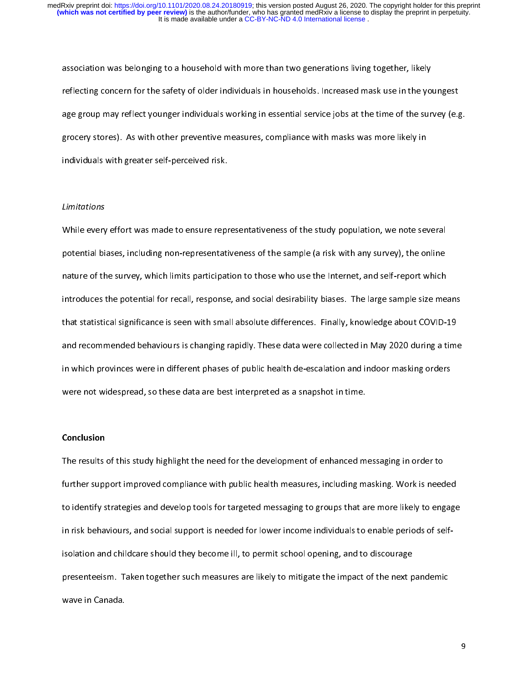reflecting concern for the safety of older individuals in households. Increased mask use in the younge group may reflect younger individuals working in essential service jobs at the time of the sur-<br>The same group may refl reflect younger individuals working in essential service jobs at the time of the survey (e.g.<br>grocery stores). As with other preventive measures, compliance with masks was more likely in<br>individuals with groater self-perse grocery stores). As with other preventive measures, compliance with masks was more likely in<br>individuals with greater self-perceived risk. grocery stores). As with characteristic measures, compliance with masked measures, in<br>individuals with greater self-perceived risk.<br>Limitations

#### Limitations

initations<br>Limitations<br>While every effect was mode to ensure reat  $\begin{array}{c} \n\frac{1}{2} & \frac{1}{2} \\ \n\frac{1}{2} & \frac{1}{2} \\ \n\frac{1}{2} & \frac{1}{2} \\ \n\frac{1}{2} & \frac{1}{2} \\ \n\frac{1}{2} & \frac{1}{2} \\ \n\frac{1}{2} & \frac{1}{2} \\ \n\frac{1}{2} & \frac{1}{2} \\ \n\frac{1}{2} & \frac{1}{2} \\ \n\frac{1}{2} & \frac{1}{2} \\ \n\frac{1}{2} & \frac{1}{2} \\ \n\frac{1}{2} & \frac{1}{2} \\ \n\frac{1}{2} & \frac{1}{$ While every effort was made to ensure representativeness of the study population, we note several<br>potential biases, including non-representativeness of the sample (a risk with any survey), the online<br>nature of the survey, potential biases, including non-representativeness of the sample (a risk with any survey), the sample<br>nature of the survey, which limits participation to those who use the Internet, and self-report which<br>introduces the pot introduces the potential for recall, response, and social desirability biases. The large sample size meant<br>that statistical significance is seen with small absolute differences. Finally, knowledge about COVID-1<br>and recomme that statistical significance is seen with small absolute differences. Finally, knowledge about COVID-19<br>and recommended behaviours is changing rapidly. These data were collected in May 2020 during a time<br>in which arouinge that statistical significance is seen mini-small absolute interaction many, minimally substitute to the Li<br>and recommended behaviours is changing rapidly. These data were collected in May 2020 during a time<br>in which provin in which provinces were in different phases of public health de-escalation and indoor masking orders<br>were not widespread, so these data are best interpreted as a snapshot in time. in which provides were not widespread, so these data are best interpreted as a snapshot in time.<br> **Constants** 

#### Conclusion

were not widespread, so these data are best interpreted as a snapshot in time.<br>Conclusion<br>The results of this study highlight the need for the development of enhanced m  $\begin{array}{c} \n\bullet & \rightarrow \\ \n\bullet & \rightarrow \end{array}$ The results of this study highlight the need for the development of enhanced messaging in order to<br>further support improved compliance with public health measures, including masking. Work is needed<br>to identify strategies a further support in the support is needed messaging to groups that are more likely to engage<br>in risk behaviours, and social support is needed for lower income individuals to enable periods of self-<br>isolation and shildcase s to identify strategies and develop to the reversion governmessaging to groups that are more interesting to engage<br>in risk behaviours, and social support is needed for lower income individuals to enable periods of self-<br>iso  $i$ in  $\zeta$ ome is needed for lower individuals to enable periods of self-for selfisolation and childcare should they become ill, to permit school opening, and to discourage<br>presenteeism. Taken together such measures are likely to mitigate the impact of the next pandemic<br>wave in Canada. presenteers are likely to mitigate to mitigate the impact of the impact of the impact of the impact of the next pandemic of the next panel of the next panel of the next panel of the next panel of the next panel of the next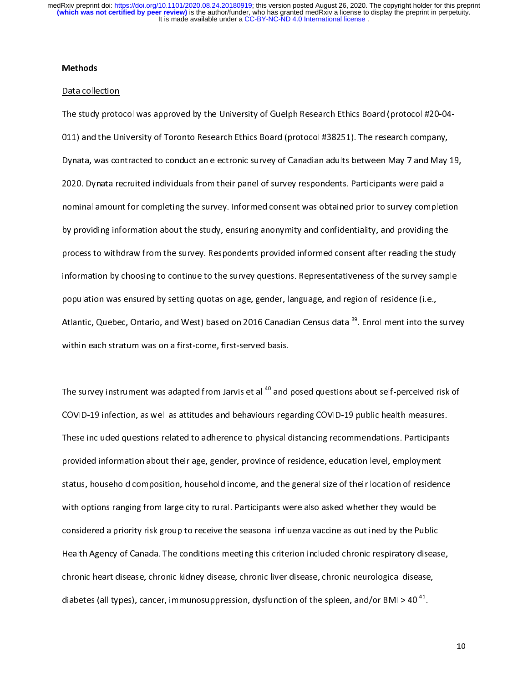#### **Methods**

<u>Data collection</u><br>The study protocol was approved by the University of Guelph Research Ethics Board (protocol #20-04-<br>011) and the University of Toronto Research Ethics Board (protocol #38251). The research company, The study protocol was approved by the University of Canadian Manuseum annual State (protocol #2011)<br>O11) and the University of Toronto Research Ethics Board (protocol #38251). The research company,<br>Dynata, was contracted Dynata, was contracted to conduct an electronic survey of Canadian adults between May 7 and May<br>2020. Dynata recruited individuals from their panel of survey respondents. Participants were paid a<br>nominal amount for complet Dependence of Survey respondents. Participants were paid a<br>Dependent and a mount for completing the survey. Informed consent was obtained prior to survey completion<br>Nunce idea information about the study, oncuring anonymit 2020. Pynata recruited individuals from their panel of survey. Dependent of survey complete hominal amount for completing the survey. Informed consent was obtained prior to survey complete by providing information about th by providing information about the study, ensuring anonymity and confidentiality, and providing the<br>process to withdraw from the survey. Respondents provided informed consent after reading the study by process to withdraw from the survey. Respondents provided informed consent after reading the study, process to withdraw from the survey. Respondents provided informed consent after reading the study information by choos process to with an interesting process to the survey questions. Representativeness of the survey sample<br>population was ensured by setting quotas on age, gender, language, and region of residence (i.e.,<br>Atlantic Quobes, Ont information was ensured by setting quotas on age, gender, language, and region of residence (i.e.,<br>Atlantic, Quebec, Ontario, and West) based on 2016 Canadian Census data <sup>39</sup>. Enrollment into the surve population was entitled by setting was ensured by setting at a setting at a setting at a set of the within each stratum was on a first-come, first-served basis. Atlantic, Quebec, Ontario, and West) based on 2016 Canadian Census data <sup>39</sup>. Enrollment into the survey<br>within each stratum was on a first-come, first-served basis.<br>The survey instrument was adapted from Jarvis at al.<sup>40</sup>

within each stratum was on a first-come, first-served basis.<br>The survey instrument was adapted from Jarvis et al <sup>40</sup> and posed questions about self-perceived risk of<br>COVID-19 infection, as well as attitudes and behaviours  $\begin{array}{c} \n\frac{1}{2} & \frac{1}{2} \\ \n\frac{1}{2} & \frac{1}{2} \\ \n\frac{1}{2} & \frac{1}{2} \\ \n\frac{1}{2} & \frac{1}{2} \\ \n\frac{1}{2} & \frac{1}{2} \\ \n\frac{1}{2} & \frac{1}{2} \\ \n\frac{1}{2} & \frac{1}{2} \\ \n\frac{1}{2} & \frac{1}{2} \\ \n\frac{1}{2} & \frac{1}{2} \\ \n\frac{1}{2} & \frac{1}{2} \\ \n\frac{1}{2} & \frac{1}{2} \\ \n\frac{1}{2} & \frac{1}{$ The survey instrument was adapted from Jarvis et al  $\infty$  and posed questions about self-perceived risk of<br>COVID-19 infection, as well as attitudes and behaviours regarding COVID-19 public health measures.<br>These included q These included questions related to adherence to physical distancing recommendations. Participants<br>provided information about their age, gender, province of residence, education level, employment<br>status household compositi provided information about their age, gender, province of residence, education level, employment<br>status, household composition, household income, and the general size of their location of residence with options ranging from large city to rural. Participants were also asked whether they would be status, with options ranging from large city to rural. Participants were also asked whether they would be<br>considered a priority risk group to receive the seasonal influenza vaccine as outlined by the Public<br>Health Assasy o considered a priority risk group to receive the seasonal influenza vaccine as outlined by the Public<br>Health Agency of Canada. The conditions meeting this criterion included chronic respiratory disease<br>shronic beart disease Health Agency of Canada. The conditions meeting this criterion included chronic respiratory disease,<br>chronic heart disease, chronic kidney disease, chronic liver disease, chronic neurological disease, Health Agency of Canada. The Commons meeting the conditions measure in the copposer, showing<br>chronic heart disease, chronic kidney disease, chronic liver disease, chronic neurological disease,<br>diabetes (all types), cancer, chronic heart diabetes (all types), cancer, immunosuppression, dysfunction of the spleen, and/or BMI > 40<sup>-41</sup>. diabetes (all types), cancer, immunosuppression, dystunction of the spleen, and/or BMI > 40 <sup>--</sup>.<br>
intervalse of the spleen, and/or BMI > 40 <sup>--</sup>.<br>
intervalse of the spleen, and/or BMI > 40 <sup>--</sup>.<br>
intervalse of the spleen,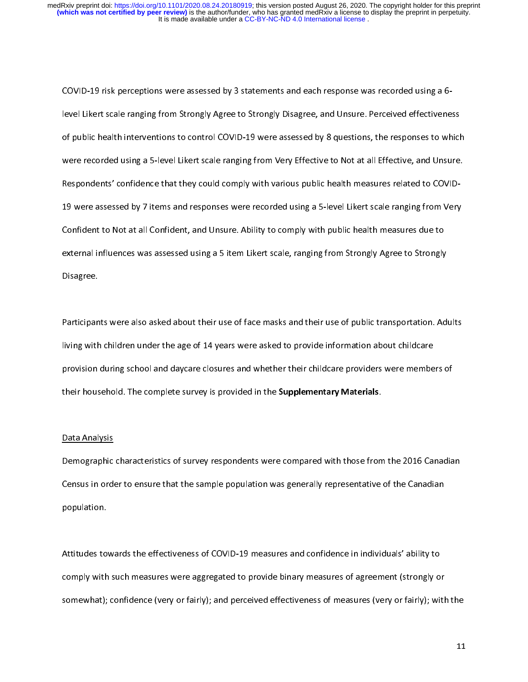$\frac{1}{2}$ COVID-19 were assessed by 8 questions, the responses to which public health interventions to control COVID-19 were assessed by 8 questions, the responses to which public health interventions to control COVID-19 were assess of public health interventions to control COVID-19 were assessed by 8 questions, the responses to which<br>were recorded using a 5-level Likert scale ranging from Very Effective to Not at all Effective, and Unsure.<br>Percentagr were recorded using a 5-level Likert scale ranging from Very Effective to Not at all Effective, and Unsure.<br>19 Respondents' confidence that they could comply with various public health measures related to COVID-19 were assessed by 7 items and responses were recorded using a 5-level Likert scale ranging from Very 19 very<br>Confident to Not at all Confident, and Unsure. Ability to comply with public health measures due to cutornal influences was associated vaing a Elitam Likert seele, renging from Strengly Agree to Strengly 19 Confident to Not at all Confident, and Unsure. Ability to comply with public health measures due to<br>external influences was assessed using a 5-ltem Likert scale, ranging from Strongly Agree to Strongly<br>Disagree External influences was assessed using a 5 item Likert scale, ranging from Strongly Agree to Strongly<br>Disagree.<br>Disagree. external influences was assessed using a 5 item Likert scale, ranging from Strongly Agree to Strongly<br>Disagree.<br>Pertisipents were also asked about their wea of fore meaks and their wea of mublic transportation. Ad

Disagree.<br>Participants were also asked about their use of face masks and their use of public transportation. Adults<br>Iiving with children under the age of 14 years were asked to provide information about childcare |<br>|<br>| Participants were active about their were asked to provide information about childcare<br>provision during school and daycare closures and whether their childcare providers were members of<br>their bousehold. The complete curvey provision during school and daycare closures and whether their childcare providers were membe<br>their household. The complete survey is provided in the **Supplementary Materials**. their household. The complete survey is provided in the **Supplementary Materials**.<br>Data Analysis

their household. The complete survey is provided in the Supplementary Materials.<br>Data Analysis<br>Demographic characteristics of survey respondents were compared with these from |<br>|<br>| Demographic characteristics of survey respondents were compared with those from the 2016 Canadian<br>Census in order to ensure that the sample population was generally representative of the Canadian<br>population. Census in order to ensure that the sample population was generally representative of the Canadian population.<br>
Centrifuge to ensure the sample population was generally representative of the Canadian series of the Canadian<br>
Centrifuge to ensure the sample of the Canadian series of the Canadian series and send density re

Attitudes towards the effectiveness of COVID-19 measures and confidence in individuals' ability to  $\frac{1}{2}$ comply with such measures were aggregated to provide binary measures of agreement (strongly or somewhat); confidence (very or fairly); and perceived effectiveness of measures (very or fairly); with the somewhat); confidence (very or fairly); and perceived effectiveness of measures (very or fairly); with the perceived effectiveness of  $m$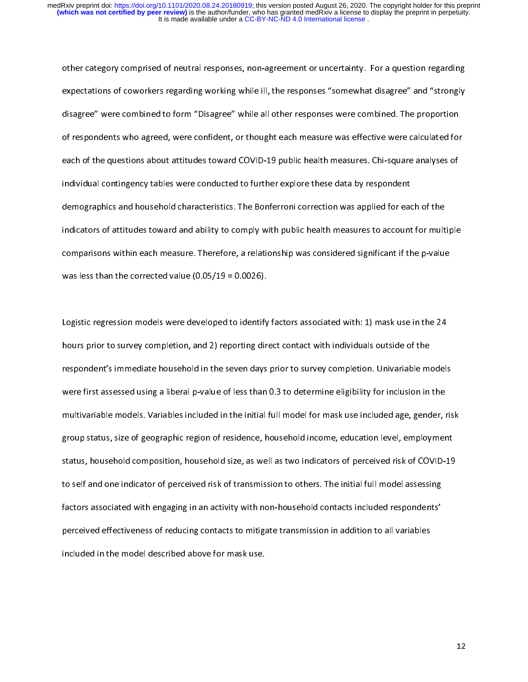other category comprised of neutral responses, non-agreement or uncertainty. For a question regarding<br>expectations of coworkers regarding working while ill, the responses "somewhat disagree" and "strongly<br>disagree" were co expectations of complied to form "Disagree" while all other responses were combined. The proportion<br>of respondents who agreed, were confident, or thought each measure was effective were calculated for<br>each of the questions of respondents who agreed, were confident, or thought each measure was effective were calculated for<br>each of the questions about attitudes toward COVID-19 public health measures. Chi-square analyses of<br>individual contingen each of the questions about attitudes toward COVID-19 public health measures. Chi-square analyses of<br>individual contingency tables were conducted to further explore these data by respondent individual contingency tables were conducted to further explore these data by respondent<br>demographics and household characteristics. The Bonferroni correction was applied for each of the<br>indicators of attitudes toward and demographics and household characteristics. The Bonferroni correction was applied for each<br>indicators of attitudes toward and ability to comply with public health measures to account<br>compositions within each measure. There indicators of attitudes toward and ability to comply with public health measures to account for multiple<br>comparisons within each measure. Therefore, a relationship was considered significant if the p-value<br>was less than t comparisons within each measure. Therefore, a relationship was considered significant if the p-value comparisons within each measure  $\epsilon$  measure. Therefore, a relationship was considered significant if the p-value<br>was less than the corrected value (0.05/19 = 0.0026).

Logistic regression models were developed to identify factors associated with: 1) mask use in the 24<br>hours prior to survey completion, and 2) reporting direct contact with individuals outside of the |<br>|<br>| Logistic regression models were developed to identify factors associated with  $\frac{1}{2}$ , mask use in the 24<br>hours prior to survey completion, and 2) reporting direct contact with individuals outside of the<br>respondent's imm respondent's immediate household in the seven days prior to survey completion. Univariable movement is immediate household in the seven days prior to survey completion. Univariable movement were first assessed using a libe response first assessed using a liberal p-value of less than 0.3 to determine eligibility for inclusion in the<br>multivariable models. Variables included in the initial full model for mask use included age, gender, ris<br>spons were interested using a liberal p-value of less than 2002 and the liberal page included age, gender, r<br>multivariable models. Variables included in the initial full model for mask use included age, gender, r<br>group status, s group status, size of geographic region of residence, household income, education level, employment<br>status, household composition, household size, as well as two indicators of perceived risk of COVID-19 to self and one indicator of perceived risk of transmission to others. The initial full model assessing factors associated with engaging in an activity with non-household contacts included respondents' the state or sassociated with engaging in an activity with non-household contacts included respondents'<br>perceived effectiveness of reducing contacts to mitigate transmission in addition to all variables<br>included in the mod factors associated with engaging in an activity with non-household contacts included verpondents<br>perceived effectiveness of reducing contacts to mitigate transmission in addition to all variables<br>included in the model desc perceived in the model described above for mask use.<br>included in the model described above for mask use.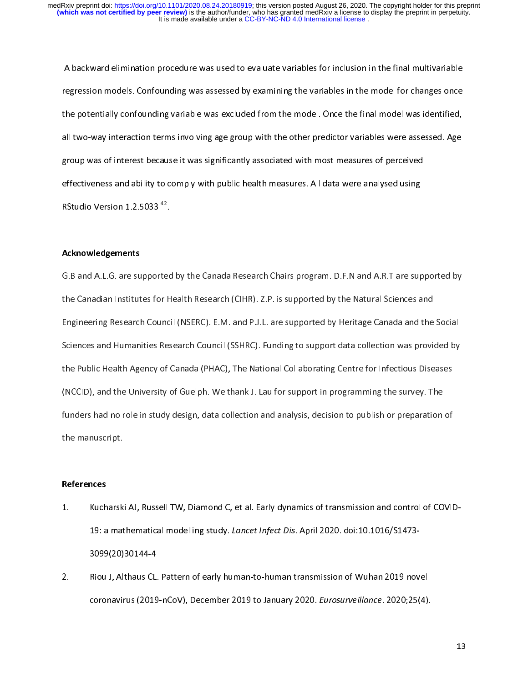A backward elimination procedure was used to evaluate variables for inclusion in the final multivariable<br>regression models. Confounding was assessed by examining the variables in the model for changes once<br>the potentially regression models. Confounding variable was excluded from the model. Once the final model was identified,<br>all two-way interaction terms involving age group with the other predictor variables were assessed. Age<br>aroun was of the potentially conformating variable was extended from the model. The model was interactionally,<br>all two-way interaction terms involving age group with the other predictor variables were assessed. Age<br>group was of interes group was of interest because it was significantly associated with most measures of perceived<br>effectiveness and ability to comply with public health measures. All data were analysed using<br>RStudio Version 1.2.5033<sup>42</sup>. effectiveness and ability to comply with public health measures. All data were analysed using effectiveness and ability to comply with public health measures. All data were analysed using<br>RStudio Version 1.2.5033 <sup>42</sup>.<br>Aclineauledesments. RStudio Version 1.2.5033 \*\*.<br>**Acknowledgements**<br>G B and A L G are supported

#### Acknowledgements

 $\frac{1}{2}$ The Canadian Institutes for Health Research (CIHR). Z.P. is supported by the Natural Sciences and<br>Engineering Research Council (NSERC). E.M. and P.J.L. are supported by Heritage Canada and the Social<br>Sciences and Humanitie Engineering Research Council (NSERC). E.M. and P.J.L. are supported by Heritage Canada and the<br>Sciences and Humanities Research Council (SSHRC). Funding to support data collection was provided<br>the Bublie Health Agency of C Sciences and Humanities Research Council (SSHRC). Funding to support data collection was provided by<br>the Public Health Agency of Canada (PHAC), The National Collaborating Centre for Infectious Diseases<br>(NCCID), and the Uni the Public Health Agency of Canada (PHAC), The National Collaborating Centre for Infectious Diseases (NCCID), and the University of Guelph. We thank J. Lau for support in programming the survey. The<br>funders had no role in study design, data collection and analysis, decision to publish or preparation of<br>the manuscript (NCCID), and the University of Guelph. We thank the Lau for Support in programming the survey. The<br>funders had no role in study design, data collection and analysis, decision to publish or preparation<br>the manuscript. funders had no role in study design, data collection and analysis, decision and analysis, decision of publish or preparation of publish or publish or publish or publish or publish or publish or publish or publish or publis

# the manuscript.<br>References<br>1. Michaels

- $\frac{1}{1}$ Exercises<br>1. Kuch<br>19: a<br>2000
- 1. Kucharski AJ, Russell TW, Diamond C, et al. Early dynamics of transmission and control of COVID-19: a mathematical modelling study. *Lancet Infect Dis. April 2020*. doi:10.1010/31473-<br>3099(20)30144-4<br>Riou J, Althaus CL. Pattern of early human-to-human transmission of Wuhan 2019 nov 2009<br>Riou J, Althaus CL.<br>coronavirus (2019 2. Riou J, Althaus CL. Pattern of early human-to-human transmission of Wuhan 2019 novel<br>coronavirus (2019-nCoV), December 2019 to January 2020. Eurosurveillance. 2020;25(4). coronavirus (2019-nCoV), December 2019 to January 2020. Eurosurveillance. 2020;25(4).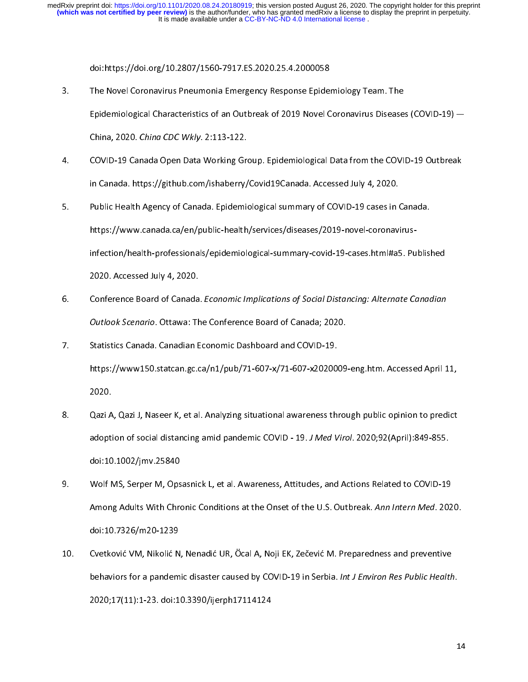- The Novel Coronavirus Pneumonia Emergency Response Epider<br>Epidemiological Characteristics of an Outbreak of 2019 Novel C<br>China 2020, China CDC With: 2:112.122 3. The Novel Coronavirus Disease.<br>3. Epidemiological Characteristics of an Outbreak of 2019 Novel Coronavirus Disease.<br>3. COVID 10 Conada Open Data Werking Crown Epidemiological Data from the COVI.
- Epidemiological Characteristics of an Outstand of 2019 November 2019 Novel Coronavirus Diseases (COVID-19 Canada Open Data Working Group. Epidemiological Data from the COVID-19 Outbreak<br>COVID-19 Canada Open Data Working Gr COVID-19 Canada Open Data Working Green<br>COVID-19 Canada Open Data Working Green<br>in Canada. https://github.com/ishaberry/
- 1. Covid 19 Canada. https://github.com/ishaberry/Covid19Canada. Accessed July 4, 2020.<br>5. Public Health Agency of Canada. Epidemiological summary of COVID-19 cases in Canada.<br>https://www.conada.co/on/public boalth/corriese in Canada. Https://githaberry/Countriesty/Correlated International Covid-19 cases in (<br>Public Health Agency of Canada. Epidemiological summary of COVID-19 cases in (<br>https://www.canada.ca/en/public-health/services/diseases 5. Public Health Agency of Canada. Epidemiological summary of COVID-19 cases in Canada.<br>https://www.canada.ca/en/public-health/services/diseases/2019-novel-coronavirus-<br>infection/health-professionals/epidemiological-summar
- https://www.canada.ca/en/public-health/services/diseases/2019-novel-coronavirusinfection, health-professionals, epidemiological-summary-covid-19-cases.html<br>2020. Accessed July 4, 2020.<br>Conference Board of Canada. *Economic Implications of Social Distancing: Alternate Canadian*<br>Quitleak Scenaria. Otta 2020. According Conference Board of Canada<br>2020. Outlook Scenario. Ottawa: Th<br>2020. Statistics Canada. Canadian E 6. Conference Board of Canada. Economic Implications of Social Distancing. Alternate Canadian<br>
2016 - Outlook Scenario. Ottawa: The Conference Board of Canada; 2020.<br>
2016 - Statistics Canada. Canadian Economic Dashboard a
- Outlook Scenario. Ottawa: The Conference Board of Canada; 2020.<br>Statistics Canada. Canadian Economic Dashboard and COVID-19.<br>https://www150.statcan.gc.ca/n1/pub/71-607-x/71-607-x2020009<br>2020. https://www150.statcan.gc.ca/n1/pub/71-607-x/71-607-x20200<br>2020.<br>See Osai A. Osai L. Nasser K. et al. Analysing situational awareness the
- https://www.accessed.com/<br>https://www.accessed.com/<br>n1/public opinion to predict<br>calculate a fiscale distancing amid nandemia COVID, 10, JAAd Viral 2020-02/April 1840, 855 ----<br>Qazi A<br>adopti 9. Qazi A, Qazi J, Naseer K, et al. Analyzing situational awareness through public opinion to prediction of social distancing amid pandemic COVID - 19. J Med Virol. 2020;92(April):849-855.<br>doi:10.1002/jmv.25840<br>9. Wolf MS,
- Wolf MS, Serper M, Opsasnick L, et al. Awareness, Attitudes, and Actions Related to COVID-19 wolf MS, Serper M, Ops<br>Among Adults With Chro<br>doi:10.7336/m30.1339 9. Among Adults With Chronic Conditions at the Onset of the U.S. Outbreak. Ann Intern Med. 202<br>doi:10.7326/m20-1239<br>The Continuity M. Nikolit N. Nonedit U.B. Ösel A. Neii EK. Zoževit M. Preparedness and proventive Among Adults With Chronic Conditions at the Onset of the U.S. Outbreak. Ann Intern Med. 2020.<br>doi:10.7326/m20-1239<br>Cvetković VM, Nikolić N, Nenadić UR, Öcal A, Noji EK, Zečević M. Preparedness and preventive
- Solution Contraction Contraction<br>10.7326/m2000<br>1020-17411111220001239 10. Cvetković VM, Nikolić N, Nenadić UR, Öcal A, Noji EK, Zečević M. Preparedness and preventive<br>behaviors for a pandemic disaster caused by COVID-19 in Serbia. *Int J Environ Res Public Health*.<br>2020;17(11):1-23. doi:10.3 behaviors for a pandemic disaster caused by COVID-19 in Serbia. *Int 3 Environ Res Public Health.*<br>2020;17(11):1-23. doi:10.3390/ijerph17114124  $2020;17$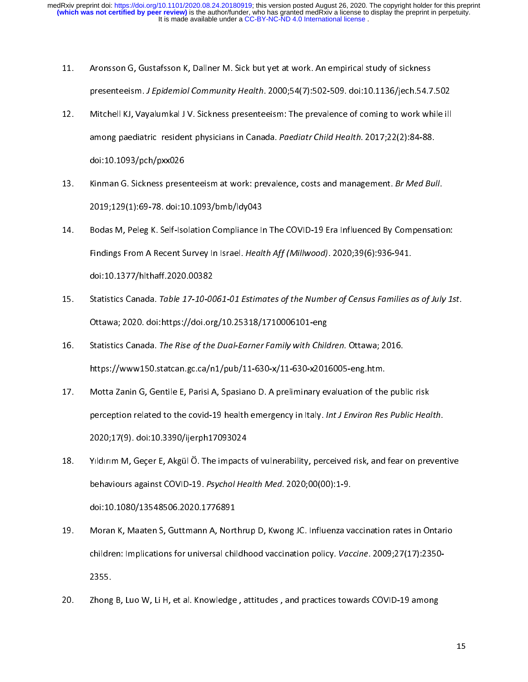- 
- 11. The masses of Gustafsson Gustafs of Gustafs and Aronsson Computer Study of Study of Study Sections.<br>12. Mitchell KJ, Vayalumkal J V. Sickness presenteeism: The prevalence of coming to work wh presenteeism. J Epidemiol Community Treatm. 2000;54(7):502-509. doi:10.11307jech.54.7.502<br>Mitchell KJ, Vayalumkal J V. Sickness presenteeism: The prevalence of coming to work while ill<br>among paediatric resident physicians 12. Mitchell KJ, Vayalumkal J V. Sickness presenteeism: The prevalence of coming to work whi<br>among paediatric resident physicians in Canada. Paediatr Child Health. 2017;22(2):84-88.<br>doi:10.1093/pch/pxx026<br>13. Kinman G. Sic among paediatric resident physicians in Canada. Puediatr Child Health. 2017,22(2):84-88.<br>doi:10.1093/pch/pxx026<br>Kinman G. Sickness presenteeism at work: prevalence, costs and management. *Br Med Bu*.
- doi:10.1093<br>2019;129(1):69-78. doi:10<br>2019;129(1):69-78. doi:10
- 13. Kinman G. Sickness presenteeism at work: prevalence, costs and management. Br Med Bull.<br>2019;129(1):69-78. doi:10.1093/bmb/ldy043<br>14. Bodas M, Peleg K. Self-Isolation Compliance In The COVID-19 Era Influenced By Compen 2019;129-79. doi:10.1297. doi:10.1297. doi:10.1277/http://tech.indings.<br>2019:129-79. doi:10.1277/http://tech.indings.com/2020.00282. 14. Findings From A Recent Survey In Israel. Health Aff (Millwood). 2020;39(6):936-941.<br>15. Statistics Canada. Table 17-10-0061-01 Estimates of the Number of Census Families
- Finaligs From A Recent Survey In Israel. Health Aff (MillWood). 2020,39(6):336-941.<br>doi:10.1377/hlthaff.2020.00382<br>Statistics Canada. *Table 17-10-0061-01 Estimates of the Number of Census Families d* doi:<br>10.003<br>10.1020.003.1003/https://doi.org<br>10.1377/hlthaft.2020.0038225.11482<br>10.15782827.11582 15. Statistics Canada. Table 17-10-0061-01 Estimates of the Number of Census Families as of July 1st.<br>Ottawa; 2020. doi:https://doi.org/10.25318/1710006101-eng<br>16. Statistics Canada. The Rise of the Dual-Earner Family with
- Statistics Canada. The Rise of the Dual-Earner Family with Child<br>https://www150.statcan.gc.ca/n1/pub/11-630-x/11-630-x201<br>Mette Zenin G. Contile E. Barisi A. Specience D. A proliminary of 16. Statistics Canada. The Rise of the Dual-Earner Family with Children. Ottawa; 2<br>https://www150.statcan.gc.ca/n1/pub/11-630-x/11-630-x2016005-eng.htm.<br>17. Motta Zanin G, Gentile E, Parisi A, Spasiano D. A preliminary eva
- Motta Zanin G, Gentile E, Parisi A, Spasiano D. A preliminary evaluation of the public risk<br>perception related to the covid-19 health emergency in Italy. *Int J Environ Res Public Hea.*<br>2020;17(9). doi:10.3390/ijerph170930 perception related to the covid-19 health emergency in Italy. *Int J Environ Res Public Health.*<br>2020;17(9). doi:10.3390/ijerph17093024<br>18. Yıldırım M, Gecer E, Akgül Ö. The impacts of vulnerability, perceived risk, an perception related to the covid-19 health emergency in Italy. *Int 3 Environ Res Public Health.*<br>2020;17(9). doi:10.3390/ijerph17093024<br>Yildirim M, Geçer E, Akgül Ö. The impacts of vulnerability, perceived risk, and fear o
- 2020;17(9). doi:10.3390/ijerph17093024 18. Yuldur Med. 2020;00(00):1-9.<br>
18. Moren K. Master S. Guttmann A. Northrup D. Kurang JG. Influence veceination rates in Ontario behaviours against COVID-19. *Psychol Health Med*. 2020;00(00):1-9.<br>doi:10.1080/13548506.2020.1776891<br>Moran K, Maaten S, Guttmann A, Northrup D, Kwong JC. Influenza vaccination rates in Ontario
- Moran K, Maaten S, Guttmann A, Nort<br>Children: Implications for universal chil<br>2255 19. Moran Children: Implications for universal childhood vaccination policy. Vaccine. 2009;27(17):2350-<br>2355.<br>29. Moran B, Lue W, Li U, et al. Knowledge, attitudes, and prestiges towards COVID, 19 among children: Implications for universal childhood vaccination policy. Vuccine. 2009;27(17):2350-<br>2355.<br>Zhong B, Luo W, Li H, et al. Knowledge , attitudes , and practices towards COVID-19 among
- Zhong<br>2 20. Zhong B, Luo W, Li H, et al. Knowledge , attitudes , and practices towards COVID-19 among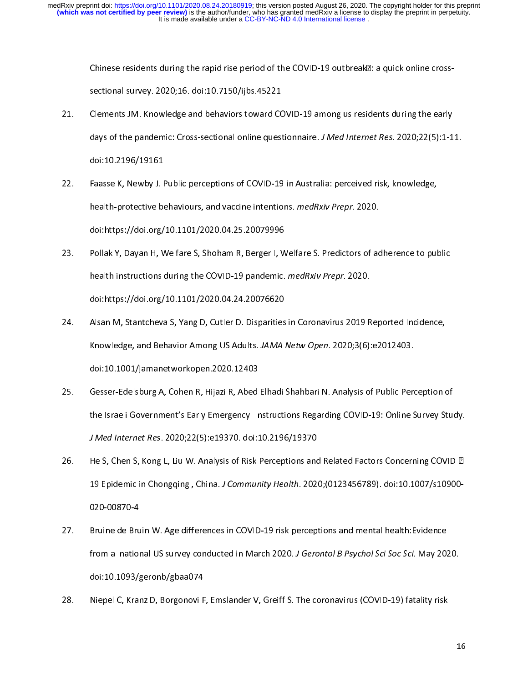It is made available under a [CC-BY-NC-ND 4.0 International license](http://creativecommons.org/licenses/by-nc-nd/4.0/) . **(which was not certified by peer review)** is the author/funder, who has granted medRxiv a license to display the preprint in perpetuity. medRxiv preprint doi: [https://doi.org/10.1101/2020.08.24.20180919;](https://doi.org/10.1101/2020.08.24.20180919) this version posted August 26, 2020. The copyright holder for this preprint

Chinese residents during the rapid rise period of the COVID-19 outbreak<sup>[2]</sup>: a quick online cross-

- dous of the readernia: Cross-sectional opline questionaire.  $I$  Med Internet Res. 2020-22(E):1-1. sectional survey. 2020;16. doi:10.7150/ijbs.45221<br>Clements JM. Knowledge and behaviors toward COVID-19 among us residents during the early<br>days of the pandemic: Cross-sectional online questionnaire. *J Med Internet Res*. 2 22. Clements JM. Knowledge and behaviors Covid-19 among accessions and give 24.<br>days of the pandemic: Cross-sectional online questionnaire. *J Med Internet Res.* 2020;22(5):1-1<br>doi:10.2196/19161 doi:10.2196/19161<br>doi:10.2196/19161<br>Faasse K, Newby J. Public perceptions of COVID-19 in Australia: perceived risk, knowledge,<br>hoolth protective behaviours, and vassing intentions, modPriv Props, 2020.
- doi:10.2196/19161 22. Faaste K, Newby J. Public perceptions of Covid-19 in Australian percent rating, knowledge,<br>health-protective behaviours, and vaccine intentions. *medRxiv Prepr.* 2020.<br>doi:https://doi.org/10.1101/2020.04.25.20079996 health-protective behaviours, and vaccine intentions. *medRxiv Prepr*. 2020.<br>doi:https://doi.org/10.1101/2020.04.25.20079996<br>Pollak Y, Davan H, Welfare S, Shoham R, Berger I, Welfare S. Predictors of adherence to public
- health instructions during the COVID-19 pandemic. *medRxiv Prepr.* 2020.<br>doi:https://doi.org/10.1101/2020.04.24.20076620 23. Pollar Y, Dayan Y, Manuel Y, Shoham R, Denger I, Welfare S, Welfare S, Shoham P, Public U, Public S, Shoham R,<br>health instructions during the COVID-19 pandemic. *medRxiv Prepr.* 2020.<br>doi:https://doi.org/10.1101/2020.0
- health instructions during the COVID-19 pandemic. meditally Prepr. 2020.<br>doi:https://doi.org/10.1101/2020.04.24.20076620<br>Alsan M, Stantcheva S, Yang D, Cutler D. Disparities in Coronavirus 2019 R Alsan M, Stantcheva S, Yang D, Cutler D. Disparities<br>Knowledge, and Behavior Among US Adults. JAMA 24. Alsan M, Stantcheva S, Yang D, Cutler D. Disparities in Coronavirus 2019 Reported Inc<br>Knowledge, and Behavior Among US Adults. JAMA Netw Open. 2020;3(6):e2012403.<br>doi:10.1001/jamanetworkopen.2020.12403<br>25. Gesser-Edels
- Knowledge, and Behavior Among 03 Adults. JAMA Netw Open. 2020;3(6):e2012403.<br>doi:10.1001/jamanetworkopen.2020.12403<br>Gesser-Edelsburg A, Cohen R, Hijazi R, Abed Elhadi Shahbari N. Analysis of Public Pera Gesser-Edelsburg A, Cohen R, Hijazi R, Abed<br>the Israeli Government's Early Emergency Ir<br>1001 Internat Bes 2020:22(E):210270 Idei:1 the Israeli Government's Early Emergency Instructions Regarding COVID-19: Online Survey Study.<br>25. *J Med Internet Res.* 2020;22(5):e19370. doi:10.2196/19370<br>26. He S. Chen S. Kong L. Liu W. Analysis of Risk Perceptions an
- He S, Chen S, Kong L, Liu W. Analysis of Risk Perceptions and Related Factors Concerning COVID  $\mathbb{Z}$ J Med Internet Res. 2020;22(5):e19370. doi:10.2196/19370<br>He S, Chen S, Kong L, Liu W. Analysis of Risk Perceptions and<br>19 Epidemic in Chongqing , China. J Community Health. 2020 27. Bridemic in Chongqing, China. J Community Health. 2020; (0123456789). doi:10.1007/s10900-<br>26. Heina de Pruin W. Analystic of Relations and Related Factors Concerning COVID 19. The Second Concerning Concerning Concernin
- 19 Epidemic in Chongqing , China. J Community Health. 2020, (0123456789). doi:10.1007/s10900-<br>020-00870-4<br>from a -pational US curvey conducted in March 2020, J Corontal B Peyebol Sci Soc Sci. May 2020-Bruine de Bruine<br>Bruine de Bruine<br>dei:10.1003/4 27. Bruine de Bruin W. Age differences in COVID-19 risk perceptions and mental health:Evidence<br>
from a national US survey conducted in March 2020. J Gerontol B Psychol Sci Soc Sci. May 2020.<br>
doi:10.1093/geronb/gbaa074<br>
28 from a national US survey conducted in March 2020. J Gerontol BT sychol Sci Soc Sci. May 2020.<br>doi:10.1093/geronb/gbaa074<br>Niepel C, Kranz D, Borgonovi F, Emslander V, Greiff S. The coronavirus (COVID-19) fatality risk
- doited to the control of the Niepel C, Kranz D, Borgonovi F 28. Niepel C, Kranz D, Borgonovic F, Emslander V, Greiff S. The coronavirus (COVID-19) fatality risk<br>1991 fatality risk of the coronavirus (COVID-19) fatality risk of the coronavirus (COVID-19) fatality risk of<br>1991 fatali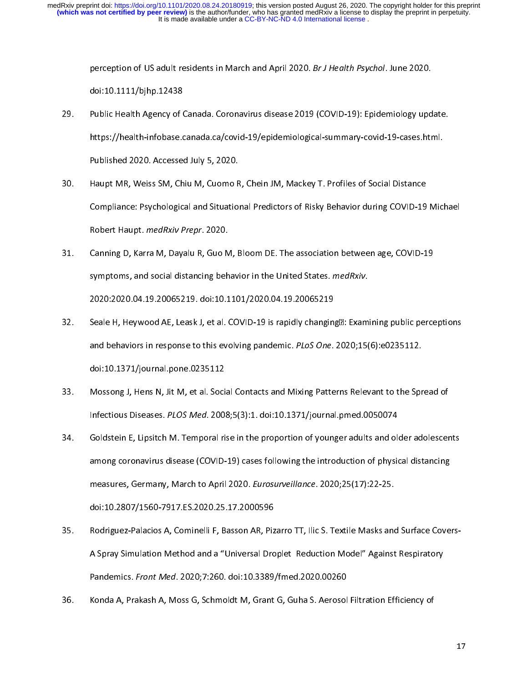perception of US adult residents in March and April 2020. Br J Health Psychol. June 2020.<br>doi:10.1111/bjhp.12438<br>Public Health Agency of Canada. Coronavirus disease 2019 (COVID-19): Epidemiology upd<br>https://bookh.infobase.

- Public Health Agency of C<br>https://health-infobase.c<br>Bubliched 2020, Accesses 29. Public Health Agency of Canada. Coronavirus disease 2019 (COVID-19): Epidemiology update<br>https://health-infobase.canada.ca/covid-19/epidemiological-summary-covid-19-cases.html.<br>Published 2020. Accessed July 5, 2020.<br>30
- https://health-information.ca./covid-19/epidemiological-summary-covid-19-cases.html<br>Published 2020. Accessed July 5, 2020.<br>Haupt MR, Weiss SM, Chiu M, Cuomo R, Chein JM, Mackey T. Profiles of Social Distance Haupt MR, Weiss SM, Chiu M, Cuomo R<br>Compliance: Psychological and Situation<br>Bobert Haupt, medBriu Brens, 2020. 31. Compliance: Psychological and Situational Predictors of Risky Behavior during COVID-19 Michael<br>19 Nobert Haupt. *medRxiv Prepr*. 2020.<br>19 Nobert Haupt. *medRxiv Prepr*. 2020.
- Canning D, Karra M, Dayalu R, Guo M, Bloom DE. The association between age, COVID-19 Robert Haupt. *Medikity Prepr. 2020.*<br>Canning D, Karra M, Dayalu R, Guo M<br>symptoms, and social distancing beh 32. Capital Marcuso AF, Lasak Latel, COVID-19 is result abonding Tu Framinics sublic resets.<br>Special Libourged AF, Lasak Latel, COVID-19 is result abonding Tu Framinics sublic resets. 2020:2020.04.19.20065219. doi:10.1101/2020.04.19.20065219<br>Seale H, Heywood AE, Leask J, et al. COVID-19 is rapidly changing**D: Examining public perceptions**
- Seale H, Heywood AE, Leask J, et al. COVID-19 is rapidly changing<br>and behaviors in response to this evolving pandemic. PLoS One.<br>doi:10.1271/iournal pape 0225112. 32. Moreonal Hence N, Hit M, at al. Sealel Contacts and Mixing Petterns Polovent to the Spread of doi:10.1371/journal.pone.0235112<br>Mossong J, Hens N, Jit M, et al. Social Contacts and Mixing Patterns Relevant to the Spread of
- Infectious Diseases. PLOS Med. 2008;5(3):1. doi:10.1371/journal.pmed.0050074
- 33. Infectious Diseases. *PLOS Med.* 2008;5(3):1. doi:10.1371/journal.pmed.0050074<br>34. Goldstein E, Lipsitch M. Temporal rise in the proportion of younger adults and older adolescer Infectious Diseases. PLOS Med. 2008;5(3):1. doi:10.1371/journal.pmed.0030074<br>Goldstein E, Lipsitch M. Temporal rise in the proportion of younger adults and old<br>among coronavirus disease (COVID-19) cases following the intro 34. Goldstein E, Lipsitch M. Temporal rise in the proportion of younger adults and older adolescen<br>among coronavirus disease (COVID-19) cases following the introduction of physical distancing<br>measures, Germany, March to Ap measures, Germany, March to April 2020. Eurosurveillance. 2020;25(17):22-25.
- measures, Germany, March to April 2020. Eurosurveillance. 2020,25(17):22-25.<br>doi:10.2807/1560-7917.ES.2020.25.17.2000596<br>Rodriguez-Palacios A, Cominelli F, Basson AR, Pizarro TT, Ilic S. Textile Masks and MARRETHER PER PER PER PER PER PER PER PER PER<br>Rodriguez-Palacios A, Cominelli F, Basson AR, Piz<br>A Spray Simulation Method and a "Universal Dro 35. Pandemics. *Front Med.* 2020;7:260. doi:10.3389/fmed.2020.00260<br>Konda A, Prakash A, Moss G, Schmoldt M, Grant G, Guha S. Aerosol Filtration Efficiency of
- 35. Rondo A, Disligate A, Mose C, Schmoldt M, Crant C, Cube S, Acrosol Filtration Efficiency of Pandermes. Fr*ont Med. 2020*;7:260. doi:10.33897fmed.2020.00260<br>Konda A, Prakash A, Moss G, Schmoldt M, Grant G, Guha S. Aerosol 36. Konda A, Prakash A, Moss G, Schmoldt M, Grant G, Guha S. Aerosol Filtration Efficiency of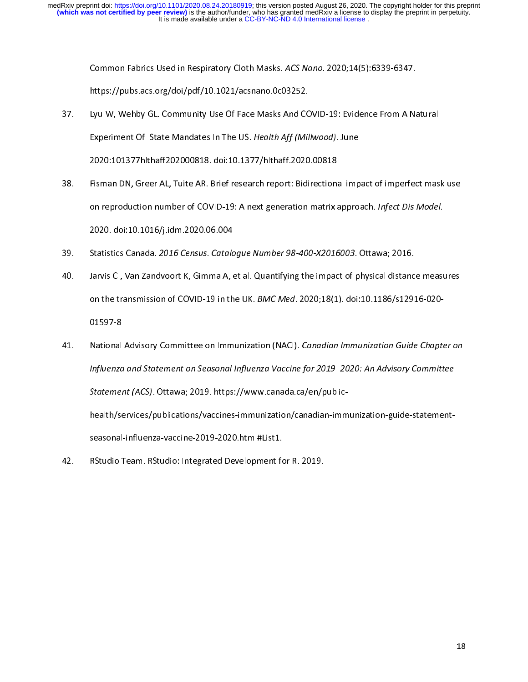- Common Fabrics Used in Respiratory Cloth Masks. Acs Nano. 2020,14(5):6335-6347.<br>https://pubs.acs.org/doi/pdf/10.1021/acsnano.0c03252.<br>Lyu W, Wehby GL. Community Use Of Face Masks And COVID-19: Evidence From A Na Lyu W, Wehby GL. Community Use Of Face Masks And CO<br>Experiment Of State Mandates In The US. Health Aff (Mil 37. Lyu W, Wehby GL. Community Use Of Face Masks And COVID-19: Evide<br>Experiment Of State Mandates In The US. Health Aff (Millwood). June<br>2020:101377hlthaff202000818. doi:10.1377/hlthaff.2020.00818<br>38. Fisman DN. Greer AL.
- Experiment Of State Mandates In The US. Health Aff (Millwood). June<br>2020:101377hlthaff202000818. doi:10.1377/hlthaff.2020.00818<br>Fisman DN, Greer AL, Tuite AR. Brief research report: Bidirectional imp Fisman DN, Greer AL, Tuite AR. Brief research report: Bidirectiona<br>2020: doi:10.1016/i.idm 2020.06.004<br>2020: doi:10.1016/i.idm 2020.06.004 39. Statistics Canada, 2016 Census, Catalogue Number 98-400-X2016003. Ottawa: 2016.<br>39. Statistics Canada, 2016 Census. Catalogue Number 98-400-X2016003. Ottawa: 2016. on reproduction number of COVID-19: A next generation matrix approach. Inject Dis Model.<br>2020. doi:10.1016/j.idm.2020.06.004<br>Statistics Canada. 2016 Census. Catalogue Number 98-400-X2016003. Ottawa; 2016.<br>Janvis Cl. Van Za
- 
- 2020. doi:1012020. J.<br>Statistics Canada. 2016 Census. Catalo<br>Jarvis Cl, Van Zandvoort K, Gimma A, e 39. Jarvis Cl, Van Zandvoort K, Gimma A, et al. Quantifying the impact of physical distance measures<br>on the transmission of COVID-19 in the UK. *BMC Med*. 2020;18(1). doi:10.1186/s12916-020-<br>01597-8 on the transmission of COVID-19 in the UK. *BMC Med*. 2020;18(1). doi:10.1186/s12916-020-<br>01597-8<br>41. National Advisory Committee on Immunization (NACI). *Canadian Immunization Guide Chapte*
- on the transmission of COVID-19 in the OK. BMC Med. 2020,16(1). doi:10.1186/s12916-020-<br>01597-8<br>National Advisory Committee on Immunization (NACI). *Canadian Immunization Guide Chapt* -----<br>National<br>*Influenzo*<br>Statemer 11. National Advisory Committee on Immunization (NACI). Canadian Immunization Guide Chapter on<br>Influenza and Statement on Seasonal Influenza Vaccine for 2019–2020: An Advisory Committee<br>Statement (ACS). Ottawa; 2019. https Influenza and Statement on Seasonal Influenza Vaccine for 2019–2020: An Advisory Committee Statement (ACS). Ottawa; 2019. https://www.canada.ca/en/public-<br>health/services/publications/vaccines-immunization/canadian-immunization-guide-statement-<br>seasonal-influenza-vaccine-2019-2020.html#List1.
- RStudio Team. RStudio: Integrated Development for R. 2019. 42. RStudio Team. RStudio: Integrated Development for R. 2019.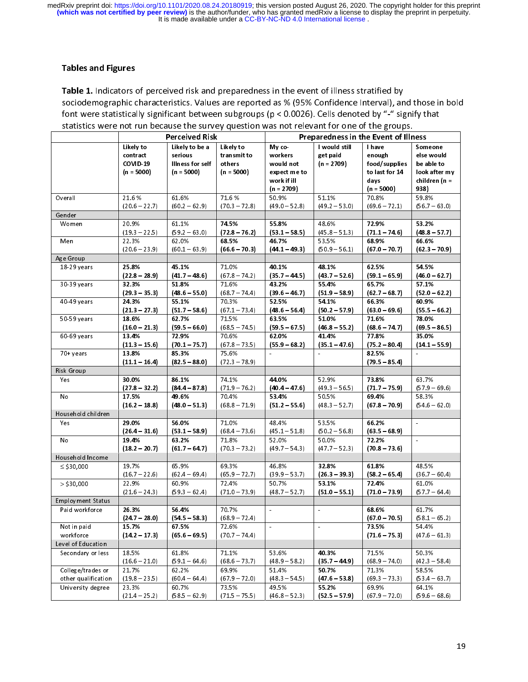## Tables and Figures

For the transfer of the transfer of illness stratified by<br>sociodemographic characteristics. Values are reported as % (95% Confidence Interval), and<br>font were statistically significant between subgroups ( $p < 0.0026$ ). Cell statistics were not run because the survey question was not relevant for one of the groups.

|                                                   | <b>Perceived Risk</b>                                                                                                                    |                                                                                                                                                          | statistics were not run because the survey question was not relevant for one of the groups.<br>Preparedness in the Event of Illness      |                                                                                                                                           |                                                                                                                                 |                                                                                                                                          |
|---------------------------------------------------|------------------------------------------------------------------------------------------------------------------------------------------|----------------------------------------------------------------------------------------------------------------------------------------------------------|------------------------------------------------------------------------------------------------------------------------------------------|-------------------------------------------------------------------------------------------------------------------------------------------|---------------------------------------------------------------------------------------------------------------------------------|------------------------------------------------------------------------------------------------------------------------------------------|
| Likely to<br>contract<br>COVID-19<br>$(n = 5000)$ | Likely to be a<br>serious<br>Illness for self<br>$(n = 5000)$                                                                            | Likely to<br>transmit to<br>others<br>$(n = 5000)$                                                                                                       | My co-<br>workers<br>would not<br>expect me to<br>work if ill<br>$(n = 2709)$                                                            | I would still<br>get paid<br>$(n = 2709)$                                                                                                 | I have<br>enough<br>food/supplies<br>to last for 14<br>days<br>$(n = 5000)$                                                     | Someone<br>else would<br>be able to<br>look after my<br>children (n =<br>938)                                                            |
| 21.6%<br>$(20.6 - 22.7)$                          | 61.6%                                                                                                                                    | 71.6%<br>$(70.3 - 72.8)$                                                                                                                                 | 50.9%<br>$(49.0 - 52.8)$                                                                                                                 | 51.1%<br>$(49.2 - 53.0)$                                                                                                                  | 70.8%<br>$(69.6 - 72.1)$                                                                                                        | 59.8%<br>$(56.7 - 63.0)$                                                                                                                 |
|                                                   |                                                                                                                                          |                                                                                                                                                          |                                                                                                                                          |                                                                                                                                           |                                                                                                                                 |                                                                                                                                          |
| 20.9%                                             | 61.1%                                                                                                                                    | 74.5%                                                                                                                                                    | 55.8%                                                                                                                                    | 48.6%                                                                                                                                     | 72.9%                                                                                                                           | 53.2%<br>$(48.8 - 57.7)$                                                                                                                 |
| 22.3%                                             | 62.0%                                                                                                                                    | 68.5%                                                                                                                                                    | 46.7%                                                                                                                                    | 53.5%                                                                                                                                     | 68.9%                                                                                                                           | 66.6%                                                                                                                                    |
|                                                   |                                                                                                                                          |                                                                                                                                                          |                                                                                                                                          |                                                                                                                                           |                                                                                                                                 | $(623 - 70.9)$                                                                                                                           |
|                                                   |                                                                                                                                          |                                                                                                                                                          |                                                                                                                                          |                                                                                                                                           |                                                                                                                                 | 54.5%                                                                                                                                    |
| $(22.8 - 28.9)$<br>32.3%                          | $(41.7 - 48.6)$<br>51.8%                                                                                                                 | $(67.8 - 74.2)$<br>71.6%                                                                                                                                 | $(35.7 - 44.5)$<br>43.2%                                                                                                                 | $(43.7 - 52.6)$<br>55 4%                                                                                                                  | $(59.1 - 65.9)$<br>65.7%                                                                                                        | $(46.0 - 62.7)$<br>57.1%                                                                                                                 |
| $(29.3 - 35.3)$                                   | $(48.6 - 55.0)$                                                                                                                          | $(68.7 - 74.4)$                                                                                                                                          | $(39.6 - 46.7)$                                                                                                                          | $(51.9 - 58.9)$                                                                                                                           | $(62.7 - 68.7)$                                                                                                                 | $(52.0 - 62.2)$                                                                                                                          |
| 24.3%                                             | 55.1%                                                                                                                                    | 70.3%                                                                                                                                                    | 52.5%                                                                                                                                    | 54.1%                                                                                                                                     | 66.3%                                                                                                                           | 60.9%<br>$(55.5 - 66.2)$                                                                                                                 |
| 18.6%                                             | 627%                                                                                                                                     | 71.5%                                                                                                                                                    | 63.5%                                                                                                                                    | 51.0%                                                                                                                                     | 71 6%                                                                                                                           | 78.0%<br>$(69.5 - 86.5)$                                                                                                                 |
|                                                   |                                                                                                                                          |                                                                                                                                                          |                                                                                                                                          |                                                                                                                                           |                                                                                                                                 | 35.0%                                                                                                                                    |
| $(11.3 - 15.6)$                                   | $(701 - 757)$                                                                                                                            | $(67.8 - 73.5)$                                                                                                                                          | $(55.9 - 68.2)$                                                                                                                          | $(35.1 - 47.6)$                                                                                                                           | $(75.2 - 80.4)$                                                                                                                 | $(14.1 - 55.9)$                                                                                                                          |
| $(11.1 - 16.4)$                                   | $(825 - 88.0)$                                                                                                                           | $(72.3 - 78.9)$                                                                                                                                          |                                                                                                                                          |                                                                                                                                           | $(79.5 - 85.4)$                                                                                                                 |                                                                                                                                          |
|                                                   |                                                                                                                                          |                                                                                                                                                          |                                                                                                                                          |                                                                                                                                           |                                                                                                                                 |                                                                                                                                          |
| $(27.8 - 32.2)$                                   | $(84.4 - 87.8)$                                                                                                                          | $(71.9 - 76.2)$                                                                                                                                          | $(40.4 - 47.6)$                                                                                                                          | $(49.3 - 56.5)$                                                                                                                           | $(71.7 - 75.9)$                                                                                                                 | 63.7%<br>$(57.9 - 69.6)$                                                                                                                 |
| 17.5%                                             | 49.6%                                                                                                                                    | 70.4%                                                                                                                                                    | 53.4%                                                                                                                                    | 50.5%                                                                                                                                     | 69.4%                                                                                                                           | 58.3%                                                                                                                                    |
| $(16.2 - 18.8)$                                   | $(48.0 - 51.3)$                                                                                                                          | $(68.8 - 71.9)$                                                                                                                                          | $(51.2 - 55.6)$                                                                                                                          | $(48.3 - 52.7)$                                                                                                                           | $(67.8 - 70.9)$                                                                                                                 | $(54.6 - 62.0)$                                                                                                                          |
|                                                   |                                                                                                                                          |                                                                                                                                                          |                                                                                                                                          |                                                                                                                                           |                                                                                                                                 | $\blacksquare$                                                                                                                           |
|                                                   |                                                                                                                                          |                                                                                                                                                          |                                                                                                                                          |                                                                                                                                           |                                                                                                                                 |                                                                                                                                          |
| 19.4%                                             | 63.2%                                                                                                                                    | 71.8%                                                                                                                                                    | 52.0%                                                                                                                                    | 50.0%                                                                                                                                     | 72 2%                                                                                                                           | $\bar{\phantom{a}}$                                                                                                                      |
| $(18.2 - 20.7)$                                   | $(617 - 647)$                                                                                                                            | $(70.3 - 73.2)$                                                                                                                                          | $(49.7 - 54.3)$                                                                                                                          | $(47.7 - 52.3)$                                                                                                                           | $(70.8 - 73.6)$                                                                                                                 |                                                                                                                                          |
|                                                   |                                                                                                                                          |                                                                                                                                                          |                                                                                                                                          |                                                                                                                                           |                                                                                                                                 |                                                                                                                                          |
| 19.7%                                             | 65.9%                                                                                                                                    | 69.3%                                                                                                                                                    | 46.8%                                                                                                                                    | 32.8%                                                                                                                                     | 61.8%                                                                                                                           | 48.5%                                                                                                                                    |
| $(16.7 - 22.6)$                                   | $(62.4 - 69.4)$                                                                                                                          | $(65.9 - 72.7)$                                                                                                                                          | $(39.9 - 53.7)$                                                                                                                          | $(26.3 - 39.3)$                                                                                                                           | $(58.2 - 65.4)$                                                                                                                 | $(36.7 - 60.4)$                                                                                                                          |
| 22.9%                                             | 60.9%                                                                                                                                    | 72.4%                                                                                                                                                    | 50.7%                                                                                                                                    | 531%                                                                                                                                      | 72.4%                                                                                                                           | 61.0%                                                                                                                                    |
| $(21.6 - 24.3)$                                   | $(59.3 - 62.4)$                                                                                                                          | $(71.0 - 73.9)$                                                                                                                                          | $(48.7 - 52.7)$                                                                                                                          | $(51.0 - 55.1)$                                                                                                                           | $(71.0 - 73.9)$                                                                                                                 | $(57.7 - 64.4)$                                                                                                                          |
|                                                   |                                                                                                                                          |                                                                                                                                                          |                                                                                                                                          |                                                                                                                                           |                                                                                                                                 |                                                                                                                                          |
| 26.3%                                             | 56.4%                                                                                                                                    | 70.7%                                                                                                                                                    | $\sim$                                                                                                                                   | $\blacksquare$                                                                                                                            | 68.6%                                                                                                                           | 61.7%                                                                                                                                    |
| $(247 - 28.0)$                                    | $(54.5 - 58.3)$                                                                                                                          | $(68.9 - 72.4)$                                                                                                                                          |                                                                                                                                          |                                                                                                                                           | $(67.0 - 70.5)$                                                                                                                 |                                                                                                                                          |
| 15.7%<br>$(14.2 - 17.3)$                          | 67.5%<br>$(65.6 - 69.5)$                                                                                                                 | 72.6%<br>$(70.7 - 74.4)$                                                                                                                                 | $\omega$                                                                                                                                 | $\blacksquare$                                                                                                                            | 73.5%<br>$(71.6 - 75.3)$                                                                                                        | 54.4%                                                                                                                                    |
|                                                   |                                                                                                                                          |                                                                                                                                                          |                                                                                                                                          |                                                                                                                                           |                                                                                                                                 |                                                                                                                                          |
| 18.5%                                             | 61.8%                                                                                                                                    | 71.1%                                                                                                                                                    | 53.6%                                                                                                                                    | 40.3%                                                                                                                                     | 71.5%                                                                                                                           | 50.3%                                                                                                                                    |
| $(16.6 - 21.0)$                                   | $(59.1 - 64.6)$                                                                                                                          | $(68.6 - 73.7)$                                                                                                                                          | $(48.9 - 58.2)$                                                                                                                          | $(35 \t7 - 44.9)$                                                                                                                         | $(68.9 - 74.0)$                                                                                                                 |                                                                                                                                          |
| 21.7%                                             | 62.2%                                                                                                                                    | 69.9%                                                                                                                                                    | 51.4%                                                                                                                                    | 50 7%                                                                                                                                     | 71.3%                                                                                                                           | 58.5%                                                                                                                                    |
| $(19.8 - 23.5)$<br>23.3%                          | $(60.4 - 64.4)$<br>60.7%                                                                                                                 | $(67.9 - 72.0)$<br>73.5%                                                                                                                                 | $(48.3 - 54.5)$<br>49.5%                                                                                                                 | $(47.6 - 53.8)$<br>55.2%                                                                                                                  | $(69.3 - 73.3)$<br>69.9%                                                                                                        | $(58.1 - 65.2)$<br>$(47.6 - 61.3)$<br>$(42.3 - 58.4)$<br>$(53.4 - 63.7)$<br>64.1%                                                        |
|                                                   | $(19.3 - 22.5)$<br>$(20.6 - 23.9)$<br>25.8%<br>$(21.3 - 27.3)$<br>$(16.0 - 21.3)$<br>13.4%<br>13.8%<br>30.0%<br>29.0%<br>$(26.4 - 31.6)$ | $(60.2 - 62.9)$<br>$(59.2 - 63.0)$<br>$(60.1 - 63.9)$<br>45.1%<br>$(517 - 58.6)$<br>$(59.5 - 66.0)$<br>729%<br>853%<br>86.1%<br>56.0%<br>$(53.1 - 58.9)$ | $(72.8 - 76.2)$<br>$(66.6 - 70.3)$<br>71.0%<br>$(67.1 - 73.4)$<br>$(68.5 - 74.5)$<br>70.6%<br>75.6%<br>74.1%<br>71.0%<br>$(68.4 - 73.6)$ | $(53.1 - 58.5)$<br>$(44.1 - 49.3)$<br>40.1%<br>$(48.6 - 56.4)$<br>$(59.5 - 67.5)$<br>62.0%<br>$\sim$<br>44.0%<br>48.4%<br>$(45.1 - 51.8)$ | $(45.8 - 51.3)$<br>$(50.9 - 56.1)$<br>48.1%<br>$(50.2 - 57.9)$<br>$(46.8 - 55.2)$<br>41.4%<br>52.9%<br>53.5%<br>$(50.2 - 56.8)$ | $(71.1 - 74.6)$<br>$(67.0 - 70.7)$<br>62.5%<br>$(63.0 - 69.6)$<br>$(68.6 - 74.7)$<br>77.8%<br>82.5%<br>73.8%<br>66.2%<br>$(63.5 - 68.9)$ |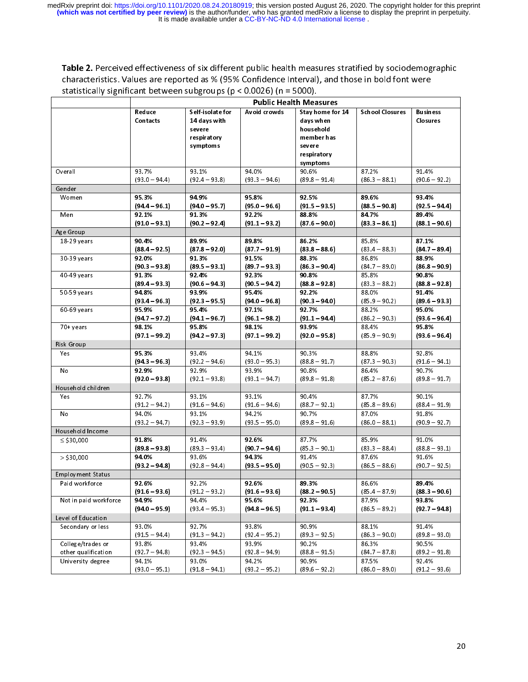Table 2. Perceived effectiveness of six different public health measures stratified by sociodemographic characteristics. Values are reported as % (95% Confidence Interval), and those in bold font were statistically significant between subgroups ( $p < 0.0026$ ) (n = 5000).

| Self-isolate for<br>Avoid crowds<br>14 days with<br>respiratory<br>symptoms<br>94.0%<br>$(92.4 - 93.8)$<br>$(93.3 - 94.6)$<br>958%<br>$(94.0 - 95.7)$<br>$(95.0 - 96.6)$<br>92.2%<br>$(90.2 - 92.4)$<br>$(911 - 932)$<br>89.8%<br>$(878 - 920)$<br>$(877 - 919)$<br>91.5%<br>$(89.5 - 93.1)$<br>$(89.7 - 93.3)$<br>92.3%<br>$(90.6 - 94.3)$<br>$(90.5 - 94.2)$<br>954%<br>$(92.3 - 95.5)$<br>$(94.0 - 96.8)$<br>97.1%<br>$(941 - 967)$<br>$(96.1 - 98.2)$<br>98.1%<br>$(94.2 - 97.3)$<br>$(971 - 99.2)$<br>94.1%<br>$(92.2 - 94.6)$<br>$(93.0 - 95.3)$<br>93.9%<br>$(92.1 - 93.8)$<br>$(93.1 - 94.7)$<br>93.1%<br>$(91.6 - 94.6)$<br>$(91.6 - 94.6)$ | <b>Public Health Measures</b><br>Stay home for 14<br>days when<br>household<br>member has<br>severe<br>respiratory<br>symptoms<br>90.6%<br>$(89.8 - 91.4)$<br>92.5%<br>$(91.5 - 93.5)$<br>88.8%<br>$(876 - 90.0)$<br>86.2%<br>$(83.8 - 88.6)$<br>88.3%<br>$(863 - 90.4)$<br>90.8%<br>$(88.8 - 92.8)$<br>92 2%<br>$(90.3 - 94.0)$<br>92.7%<br>$(911 - 944)$<br>939%<br>$(92.0 - 95.8)$<br>90.3%<br>$(88.8 - 91.7)$<br>90.8%<br>$(89.8 - 91.8)$<br>90.4%<br>$(88.7 - 92.1)$ | School Closures<br>87.2%<br>$(86.3 - 88.1)$<br>89.6%<br>$(88.5 - 90.8)$<br>84.7%<br>$(833 - 861)$<br>85.8%<br>$(83.4 - 88.3)$<br>86.8%<br>$(84.7 - 89.0)$<br>85.8%<br>$(83.3 - 88.2)$<br>88.0%<br>$(85.9 - 90.2)$<br>88.2%<br>$(86.2 - 90.3)$<br>88.4%<br>$(85.9 - 90.9)$<br>88.8%<br>$(87.3 - 90.3)$<br>86.4%<br>$(85.2 - 87.6)$<br>87.7% | <b>Business</b><br>Closures<br>91.4%<br>$(90.6 - 92.2)$<br>93.4%<br>$(92.5 - 94.4)$<br>89.4%<br>$(881 - 90.6)$<br>87.1%<br>$(847 - 89.4)$<br>88.9%<br>$(86.8 - 90.9)$<br>90.8%<br>$(88.8 - 92.8)$<br>91.4%<br>$(89.6 - 93.3)$<br>95.0%<br>$(936 - 96.4)$<br>95.8%<br>$(93.6 - 96.4)$<br>92.8%<br>$(91.6 - 94.1)$<br>90.7%<br>$(89.8 - 91.7)$<br>90.1% |
|------------------------------------------------------------------------------------------------------------------------------------------------------------------------------------------------------------------------------------------------------------------------------------------------------------------------------------------------------------------------------------------------------------------------------------------------------------------------------------------------------------------------------------------------------------------------------------------------------------------------------------------------------|---------------------------------------------------------------------------------------------------------------------------------------------------------------------------------------------------------------------------------------------------------------------------------------------------------------------------------------------------------------------------------------------------------------------------------------------------------------------------|--------------------------------------------------------------------------------------------------------------------------------------------------------------------------------------------------------------------------------------------------------------------------------------------------------------------------------------------|-------------------------------------------------------------------------------------------------------------------------------------------------------------------------------------------------------------------------------------------------------------------------------------------------------------------------------------------------------|
|                                                                                                                                                                                                                                                                                                                                                                                                                                                                                                                                                                                                                                                      |                                                                                                                                                                                                                                                                                                                                                                                                                                                                           |                                                                                                                                                                                                                                                                                                                                            |                                                                                                                                                                                                                                                                                                                                                       |
|                                                                                                                                                                                                                                                                                                                                                                                                                                                                                                                                                                                                                                                      |                                                                                                                                                                                                                                                                                                                                                                                                                                                                           |                                                                                                                                                                                                                                                                                                                                            |                                                                                                                                                                                                                                                                                                                                                       |
|                                                                                                                                                                                                                                                                                                                                                                                                                                                                                                                                                                                                                                                      |                                                                                                                                                                                                                                                                                                                                                                                                                                                                           |                                                                                                                                                                                                                                                                                                                                            |                                                                                                                                                                                                                                                                                                                                                       |
|                                                                                                                                                                                                                                                                                                                                                                                                                                                                                                                                                                                                                                                      |                                                                                                                                                                                                                                                                                                                                                                                                                                                                           |                                                                                                                                                                                                                                                                                                                                            |                                                                                                                                                                                                                                                                                                                                                       |
|                                                                                                                                                                                                                                                                                                                                                                                                                                                                                                                                                                                                                                                      |                                                                                                                                                                                                                                                                                                                                                                                                                                                                           |                                                                                                                                                                                                                                                                                                                                            |                                                                                                                                                                                                                                                                                                                                                       |
|                                                                                                                                                                                                                                                                                                                                                                                                                                                                                                                                                                                                                                                      |                                                                                                                                                                                                                                                                                                                                                                                                                                                                           |                                                                                                                                                                                                                                                                                                                                            |                                                                                                                                                                                                                                                                                                                                                       |
|                                                                                                                                                                                                                                                                                                                                                                                                                                                                                                                                                                                                                                                      |                                                                                                                                                                                                                                                                                                                                                                                                                                                                           |                                                                                                                                                                                                                                                                                                                                            |                                                                                                                                                                                                                                                                                                                                                       |
|                                                                                                                                                                                                                                                                                                                                                                                                                                                                                                                                                                                                                                                      |                                                                                                                                                                                                                                                                                                                                                                                                                                                                           |                                                                                                                                                                                                                                                                                                                                            |                                                                                                                                                                                                                                                                                                                                                       |
|                                                                                                                                                                                                                                                                                                                                                                                                                                                                                                                                                                                                                                                      |                                                                                                                                                                                                                                                                                                                                                                                                                                                                           |                                                                                                                                                                                                                                                                                                                                            |                                                                                                                                                                                                                                                                                                                                                       |
|                                                                                                                                                                                                                                                                                                                                                                                                                                                                                                                                                                                                                                                      |                                                                                                                                                                                                                                                                                                                                                                                                                                                                           |                                                                                                                                                                                                                                                                                                                                            |                                                                                                                                                                                                                                                                                                                                                       |
|                                                                                                                                                                                                                                                                                                                                                                                                                                                                                                                                                                                                                                                      |                                                                                                                                                                                                                                                                                                                                                                                                                                                                           |                                                                                                                                                                                                                                                                                                                                            |                                                                                                                                                                                                                                                                                                                                                       |
|                                                                                                                                                                                                                                                                                                                                                                                                                                                                                                                                                                                                                                                      |                                                                                                                                                                                                                                                                                                                                                                                                                                                                           |                                                                                                                                                                                                                                                                                                                                            |                                                                                                                                                                                                                                                                                                                                                       |
|                                                                                                                                                                                                                                                                                                                                                                                                                                                                                                                                                                                                                                                      |                                                                                                                                                                                                                                                                                                                                                                                                                                                                           |                                                                                                                                                                                                                                                                                                                                            |                                                                                                                                                                                                                                                                                                                                                       |
|                                                                                                                                                                                                                                                                                                                                                                                                                                                                                                                                                                                                                                                      |                                                                                                                                                                                                                                                                                                                                                                                                                                                                           |                                                                                                                                                                                                                                                                                                                                            |                                                                                                                                                                                                                                                                                                                                                       |
|                                                                                                                                                                                                                                                                                                                                                                                                                                                                                                                                                                                                                                                      |                                                                                                                                                                                                                                                                                                                                                                                                                                                                           |                                                                                                                                                                                                                                                                                                                                            |                                                                                                                                                                                                                                                                                                                                                       |
|                                                                                                                                                                                                                                                                                                                                                                                                                                                                                                                                                                                                                                                      |                                                                                                                                                                                                                                                                                                                                                                                                                                                                           |                                                                                                                                                                                                                                                                                                                                            |                                                                                                                                                                                                                                                                                                                                                       |
|                                                                                                                                                                                                                                                                                                                                                                                                                                                                                                                                                                                                                                                      |                                                                                                                                                                                                                                                                                                                                                                                                                                                                           |                                                                                                                                                                                                                                                                                                                                            |                                                                                                                                                                                                                                                                                                                                                       |
|                                                                                                                                                                                                                                                                                                                                                                                                                                                                                                                                                                                                                                                      |                                                                                                                                                                                                                                                                                                                                                                                                                                                                           |                                                                                                                                                                                                                                                                                                                                            |                                                                                                                                                                                                                                                                                                                                                       |
|                                                                                                                                                                                                                                                                                                                                                                                                                                                                                                                                                                                                                                                      |                                                                                                                                                                                                                                                                                                                                                                                                                                                                           |                                                                                                                                                                                                                                                                                                                                            |                                                                                                                                                                                                                                                                                                                                                       |
|                                                                                                                                                                                                                                                                                                                                                                                                                                                                                                                                                                                                                                                      |                                                                                                                                                                                                                                                                                                                                                                                                                                                                           |                                                                                                                                                                                                                                                                                                                                            |                                                                                                                                                                                                                                                                                                                                                       |
|                                                                                                                                                                                                                                                                                                                                                                                                                                                                                                                                                                                                                                                      |                                                                                                                                                                                                                                                                                                                                                                                                                                                                           |                                                                                                                                                                                                                                                                                                                                            |                                                                                                                                                                                                                                                                                                                                                       |
|                                                                                                                                                                                                                                                                                                                                                                                                                                                                                                                                                                                                                                                      |                                                                                                                                                                                                                                                                                                                                                                                                                                                                           |                                                                                                                                                                                                                                                                                                                                            |                                                                                                                                                                                                                                                                                                                                                       |
|                                                                                                                                                                                                                                                                                                                                                                                                                                                                                                                                                                                                                                                      |                                                                                                                                                                                                                                                                                                                                                                                                                                                                           |                                                                                                                                                                                                                                                                                                                                            |                                                                                                                                                                                                                                                                                                                                                       |
|                                                                                                                                                                                                                                                                                                                                                                                                                                                                                                                                                                                                                                                      |                                                                                                                                                                                                                                                                                                                                                                                                                                                                           |                                                                                                                                                                                                                                                                                                                                            |                                                                                                                                                                                                                                                                                                                                                       |
|                                                                                                                                                                                                                                                                                                                                                                                                                                                                                                                                                                                                                                                      |                                                                                                                                                                                                                                                                                                                                                                                                                                                                           |                                                                                                                                                                                                                                                                                                                                            |                                                                                                                                                                                                                                                                                                                                                       |
|                                                                                                                                                                                                                                                                                                                                                                                                                                                                                                                                                                                                                                                      |                                                                                                                                                                                                                                                                                                                                                                                                                                                                           |                                                                                                                                                                                                                                                                                                                                            |                                                                                                                                                                                                                                                                                                                                                       |
|                                                                                                                                                                                                                                                                                                                                                                                                                                                                                                                                                                                                                                                      |                                                                                                                                                                                                                                                                                                                                                                                                                                                                           | $(85.8 - 89.6)$                                                                                                                                                                                                                                                                                                                            | $(88.4 - 91.9)$                                                                                                                                                                                                                                                                                                                                       |
| 94.2%<br>$(92.3 - 93.9)$<br>$(93.5 - 95.0)$                                                                                                                                                                                                                                                                                                                                                                                                                                                                                                                                                                                                          | 90.7%<br>$(89.8 - 91.6)$                                                                                                                                                                                                                                                                                                                                                                                                                                                  | 87.0%<br>$(86.0 - 88.1)$                                                                                                                                                                                                                                                                                                                   | 91.8%<br>$(90.9 - 92.7)$                                                                                                                                                                                                                                                                                                                              |
|                                                                                                                                                                                                                                                                                                                                                                                                                                                                                                                                                                                                                                                      |                                                                                                                                                                                                                                                                                                                                                                                                                                                                           |                                                                                                                                                                                                                                                                                                                                            |                                                                                                                                                                                                                                                                                                                                                       |
| 92.6%                                                                                                                                                                                                                                                                                                                                                                                                                                                                                                                                                                                                                                                | 87.7%                                                                                                                                                                                                                                                                                                                                                                                                                                                                     | 85.9%                                                                                                                                                                                                                                                                                                                                      | 91.0%                                                                                                                                                                                                                                                                                                                                                 |
| $(89.3 - 93.4)$<br>$(90.7 - 94.6)$                                                                                                                                                                                                                                                                                                                                                                                                                                                                                                                                                                                                                   | $(85.3 - 90.1)$                                                                                                                                                                                                                                                                                                                                                                                                                                                           | $(83.3 - 88.4)$                                                                                                                                                                                                                                                                                                                            | $(88.8 - 93.1)$                                                                                                                                                                                                                                                                                                                                       |
| 94.3%                                                                                                                                                                                                                                                                                                                                                                                                                                                                                                                                                                                                                                                | 91.4%                                                                                                                                                                                                                                                                                                                                                                                                                                                                     | 87.6%                                                                                                                                                                                                                                                                                                                                      | 91.6%                                                                                                                                                                                                                                                                                                                                                 |
|                                                                                                                                                                                                                                                                                                                                                                                                                                                                                                                                                                                                                                                      | $(90.5 - 92.3)$                                                                                                                                                                                                                                                                                                                                                                                                                                                           | $(86.5 - 88.6)$                                                                                                                                                                                                                                                                                                                            | $(90.7 - 92.5)$                                                                                                                                                                                                                                                                                                                                       |
|                                                                                                                                                                                                                                                                                                                                                                                                                                                                                                                                                                                                                                                      |                                                                                                                                                                                                                                                                                                                                                                                                                                                                           |                                                                                                                                                                                                                                                                                                                                            |                                                                                                                                                                                                                                                                                                                                                       |
| 92.6%                                                                                                                                                                                                                                                                                                                                                                                                                                                                                                                                                                                                                                                | 89.3%                                                                                                                                                                                                                                                                                                                                                                                                                                                                     | 86.6%                                                                                                                                                                                                                                                                                                                                      | 89.4%                                                                                                                                                                                                                                                                                                                                                 |
|                                                                                                                                                                                                                                                                                                                                                                                                                                                                                                                                                                                                                                                      |                                                                                                                                                                                                                                                                                                                                                                                                                                                                           |                                                                                                                                                                                                                                                                                                                                            | $(883 - 90.6)$                                                                                                                                                                                                                                                                                                                                        |
|                                                                                                                                                                                                                                                                                                                                                                                                                                                                                                                                                                                                                                                      |                                                                                                                                                                                                                                                                                                                                                                                                                                                                           |                                                                                                                                                                                                                                                                                                                                            | 93.8%                                                                                                                                                                                                                                                                                                                                                 |
|                                                                                                                                                                                                                                                                                                                                                                                                                                                                                                                                                                                                                                                      |                                                                                                                                                                                                                                                                                                                                                                                                                                                                           |                                                                                                                                                                                                                                                                                                                                            | (92 7 – 94 8)                                                                                                                                                                                                                                                                                                                                         |
|                                                                                                                                                                                                                                                                                                                                                                                                                                                                                                                                                                                                                                                      |                                                                                                                                                                                                                                                                                                                                                                                                                                                                           |                                                                                                                                                                                                                                                                                                                                            | 91.4%                                                                                                                                                                                                                                                                                                                                                 |
|                                                                                                                                                                                                                                                                                                                                                                                                                                                                                                                                                                                                                                                      |                                                                                                                                                                                                                                                                                                                                                                                                                                                                           |                                                                                                                                                                                                                                                                                                                                            | $(89.8 - 93.0)$                                                                                                                                                                                                                                                                                                                                       |
| 93.9%                                                                                                                                                                                                                                                                                                                                                                                                                                                                                                                                                                                                                                                | 90.2%                                                                                                                                                                                                                                                                                                                                                                                                                                                                     | 86.3%                                                                                                                                                                                                                                                                                                                                      | 90.5%                                                                                                                                                                                                                                                                                                                                                 |
|                                                                                                                                                                                                                                                                                                                                                                                                                                                                                                                                                                                                                                                      | $(88.8 - 91.5)$                                                                                                                                                                                                                                                                                                                                                                                                                                                           | $(84.7 - 87.8)$                                                                                                                                                                                                                                                                                                                            | $(89.2 - 91.8)$                                                                                                                                                                                                                                                                                                                                       |
| 94.2%                                                                                                                                                                                                                                                                                                                                                                                                                                                                                                                                                                                                                                                | 90.9%                                                                                                                                                                                                                                                                                                                                                                                                                                                                     | 87.5%                                                                                                                                                                                                                                                                                                                                      | 92.4%                                                                                                                                                                                                                                                                                                                                                 |
|                                                                                                                                                                                                                                                                                                                                                                                                                                                                                                                                                                                                                                                      | $(92.8 - 94.4)$<br>$(91.2 - 93.2)$<br>95.6%<br>$(93.4 - 95.3)$<br>93.8%<br>$(91.3 - 94.2)$<br>$(92.3 - 94.5)$<br>$(91.8 - 94.1)$                                                                                                                                                                                                                                                                                                                                          | $(935 - 95.0)$<br>$(91.6 - 93.6)$<br>$(88.2 - 90.5)$<br>923%<br>$(94.8 - 96.5)$<br>$(911 - 934)$<br>90.9%<br>$(92.4 - 95.2)$<br>$(89.3 - 92.5)$<br>$(92.8 - 94.9)$<br>$(93.2 - 95.2)$<br>$(89.6 - 92.2)$                                                                                                                                   | $(85.4 - 87.9)$<br>87.9%<br>$(86.5 - 89.2)$<br>88.1%<br>$(86.3 - 90.0)$<br>$(86.0 - 89.0)$                                                                                                                                                                                                                                                            |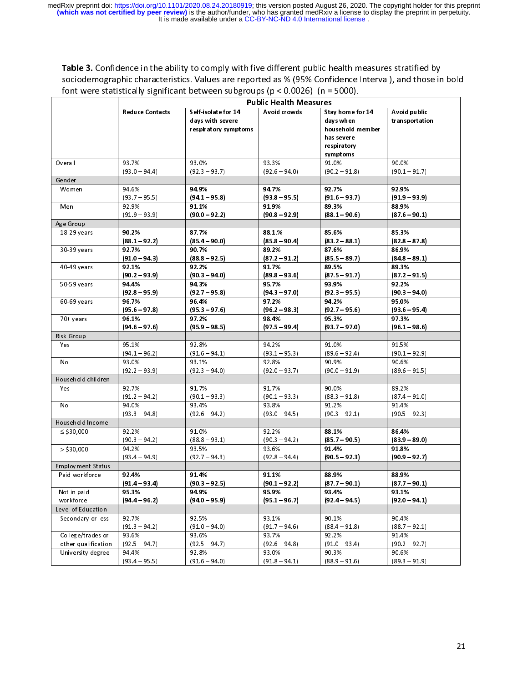Table 3. Confidence in the ability to comply with five different public health measures stratified by<br>sociodemographic characteristics. Values are reported as % (95% Confidence Interval), and those in bold font were statistically significant between subgroups ( $p < 0.0026$ ) (n = 5000).

|                     | <b>Public Health Measures</b> |                                                                 |                          |                                                                                            |                                |
|---------------------|-------------------------------|-----------------------------------------------------------------|--------------------------|--------------------------------------------------------------------------------------------|--------------------------------|
|                     | <b>Reduce Contacts</b>        | Self-isolate for 14<br>days with severe<br>respiratory symptoms | Avoid crowds             | Stay home for 14<br>days when<br>household member<br>has severe<br>respiratory<br>symptoms | Avoid public<br>transportation |
| Overall             | 93.7%<br>$(93.0 - 94.4)$      | 93.0%<br>$(92.3 - 93.7)$                                        | 93.3%<br>$(92.6 - 94.0)$ | 91.0%<br>$(90.2 - 91.8)$                                                                   | 90.0%<br>$(90.1 - 91.7)$       |
| Gender              |                               |                                                                 |                          |                                                                                            |                                |
| Women               | 94.6%<br>$(93.7 - 95.5)$      | 94 9%<br>$(941 - 95.8)$                                         | 94.7%<br>$(93.8 - 95.5)$ | 927%<br>$(91.6 - 93.7)$                                                                    | 92.9%<br>$(91.9 - 93.9)$       |
| Men                 | 92.9%<br>$(91.9 - 93.9)$      | 91.1%<br>$(90.0 - 92.2)$                                        | 91.9%<br>$(90.8 - 92.9)$ | 893%<br>$(881 - 90.6)$                                                                     | 88.9%<br>$(87.6 - 90.1)$       |
| Age Group           |                               |                                                                 |                          |                                                                                            |                                |
| 18-29 years         | 90.2%                         | 87.7%                                                           | 881%                     | 85.6%                                                                                      | 853%                           |
|                     | $(881 - 922)$                 | $(85.4 - 90.0)$                                                 | $(85.8 - 90.4)$          | $(832 - 881)$                                                                              | $(82.8 - 87.8)$                |
| 30-39 years         | 92.7%                         | 90.7%                                                           | 89.2%                    | 87.6%                                                                                      | 86.9%                          |
|                     | $(910 - 943)$                 | $(88.8 - 92.5)$                                                 | $(872 - 912)$            | $(85.5 - 89.7)$                                                                            | $(84.8 - 89.1)$                |
| 40-49 years         | 92.1%<br>$(90.2 - 93.9)$      | 92.2%<br>$(90.3 - 94.0)$                                        | 91.7%<br>$(89.8 - 93.6)$ | 89.5%<br>$(87.5 - 91.7)$                                                                   | 89.3%<br>$(872 - 915)$         |
| 50-59 years         | 94.4%                         | 94 3%                                                           | 95.7%                    | 93.9%                                                                                      | 92.2%                          |
|                     | $(928 - 959)$                 | $(927 - 95.8)$                                                  | $(943 - 970)$            | $(92.3 - 95.5)$                                                                            | $(90.3 - 94.0)$                |
| 60-69 years         | 96.7%                         | 96 4%                                                           | 97.2%                    | 94.2%                                                                                      | 95.0%                          |
|                     | $(95.6 - 97.8)$               | $(95.3 - 97.6)$                                                 | $(96.2 - 98.3)$          | $(927 - 956)$                                                                              | $(93.6 - 95.4)$                |
| 70+ years           | 96.1%<br>$(94.6 - 97.6)$      | 97.2%<br>$(95.9 - 98.5)$                                        | 98.4%<br>$(97.5 - 99.4)$ | 953%<br>$(937 - 970)$                                                                      | 973%<br>$(96.1 - 98.6)$        |
| Risk Group          |                               |                                                                 |                          |                                                                                            |                                |
| Yes                 | 95.1%                         | 92.8%                                                           | 94.2%                    | 91.0%                                                                                      | 91.5%                          |
|                     | $(94.1 - 96.2)$               | $(91.6 - 94.1)$                                                 | $(93.1 - 95.3)$          | $(89.6 - 92.4)$                                                                            | $(90.1 - 92.9)$                |
| No                  | 93.0%                         | 93.1%                                                           | 92.8%                    | 90.9%                                                                                      | 90.6%                          |
|                     | $(92.2 - 93.9)$               | $(92.3 - 94.0)$                                                 | $(92.0 - 93.7)$          | $(90.0 - 91.9)$                                                                            | $(89.6 - 91.5)$                |
| Household children  |                               |                                                                 |                          |                                                                                            |                                |
| Yes                 | 92.7%                         | 91.7%                                                           | 91.7%                    | 90.0%                                                                                      | 89.2%                          |
|                     | $(91.2 - 94.2)$               | $(90.1 - 93.3)$                                                 | $(90.1 - 93.3)$          | $(88.3 - 91.8)$                                                                            | $(87.4 - 91.0)$                |
| No                  | 94.0%                         | 93.4%                                                           | 93.8%                    | 91.2%                                                                                      | 91.4%                          |
|                     | $(93.3 - 94.8)$               | $(92.6 - 94.2)$                                                 | $(93.0 - 94.5)$          | $(90.3 - 92.1)$                                                                            | $(90.5 - 92.3)$                |
| Household Income    |                               |                                                                 |                          |                                                                                            |                                |
| $\le$ \$30,000      | 92.2%                         | 91.0%                                                           | 92.2%                    | 88 1%                                                                                      | 86.4%                          |
|                     | $(90.3 - 94.2)$               | $(88.8 - 93.1)$                                                 | $(90.3 - 94.2)$          | $(85 \t7 - 90 \t5)$                                                                        | $(83.9 - 89.0)$                |
| $>$ \$30,000        | 94.2%                         | 93.5%                                                           | 93.6%                    | 91.4%                                                                                      | 918%                           |
|                     | $(93.4 - 94.9)$               | $(92.7 - 94.3)$                                                 | $(92.8 - 94.4)$          | $(90.5 - 92.3)$                                                                            | $(90.9 - 92.7)$                |
| Employment Status   |                               |                                                                 |                          |                                                                                            |                                |
| Paid workforce      | 92.4%<br>$(91.4 - 93.4)$      | 914%<br>(90 3 – 92 5)                                           | 91.1%<br>(90 1 – 92 2)   | 88.9%<br>$(877 - 901)$                                                                     | 88.9%<br>(87 7 – 90 1)         |
| Not in paid         | 95.3%                         | 94.9%                                                           | 959%                     | 93.4%                                                                                      | 93.1%                          |
| workforce           | $(94.4 - 96.2)$               | $(94.0 - 95.9)$                                                 | $(95.1 - 96.7)$          | $(92.4 - 94.5)$                                                                            | $(92.0 - 94.1)$                |
| Level of Education  |                               |                                                                 |                          |                                                                                            |                                |
| Secondary or less   | 92.7%                         | 92.5%                                                           | 93.1%                    | 90.1%                                                                                      | 90.4%                          |
|                     | $(91.3 - 94.2)$               | $(91.0 - 94.0)$                                                 | $(91.7 - 94.6)$          | $(88.4 - 91.8)$                                                                            | $(88.7 - 92.1)$                |
| College/trades or   | 93.6%                         | 93.6%                                                           | 93.7%                    | 92.2%                                                                                      | 91.4%                          |
| other qualification | $(92.5 - 94.7)$               | $(92.5 - 94.7)$                                                 | $(92.6 - 94.8)$          | $(91.0 - 93.4)$                                                                            | $(90.2 - 92.7)$                |
|                     | 94.4%                         | 92.8%                                                           | 93.0%                    | 90.3%                                                                                      | 90.6%                          |
| University degree   |                               | $(91.6 - 94.0)$                                                 | $(91.8 - 94.1)$          | $(88.9 - 91.6)$                                                                            | $(89.3 - 91.9)$                |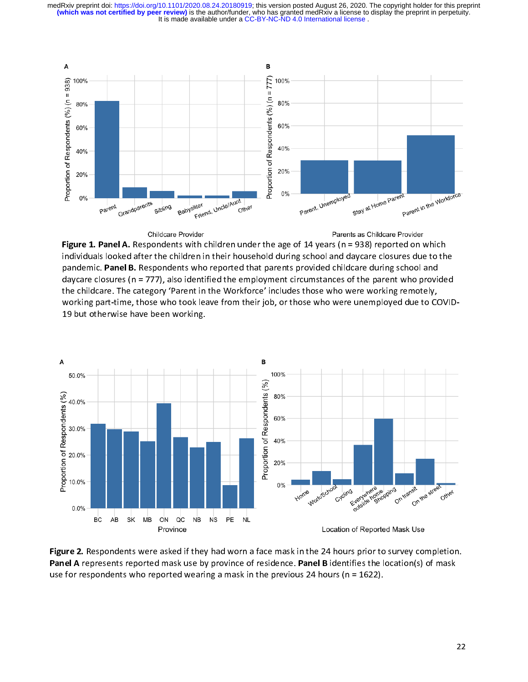It is made available under a [CC-BY-NC-ND 4.0 International license](http://creativecommons.org/licenses/by-nc-nd/4.0/) . **(which was not certified by peer review)** is the author/funder, who has granted medRxiv a license to display the preprint in perpetuity. medRxiv preprint doi: [https://doi.org/10.1101/2020.08.24.20180919;](https://doi.org/10.1101/2020.08.24.20180919) this version posted August 26, 2020. The copyright holder for this preprint



Childcare Provider

Parents as Childcare Provider

**Figure 1. Panel A.** Respondents with children under the age of 14 years (n = 938) reported on which individuals looked after the children in their household during school and daycare closures due to the pandemic. Panel B. Respondents who reported that parents provided childcare during school and daycare closures ( $n = 777$ ), also identified the employment circumstances of the parent who provided the childcare. The category 'Parent in the Workforce' includes those who were working remotely. the childcare. The category 'Parent in the Workforce' includes those who were working remotely, working part-time, those who took leave from their job, or those who were unemployed due to COVID-19 but otherwise have been working.



Figure 2. Respondents were asked if they had worn a face mask in the 24 hours prior to survey completion.<br>Panel A represents reported mask use by province of residence. Panel B identifies the location(s) of mask Panel A represents reported mask use by province of residence. Panel B identifies the location(s) of mask use for respondents who reported wearing a mask in the previous 24 hours (n = 1622).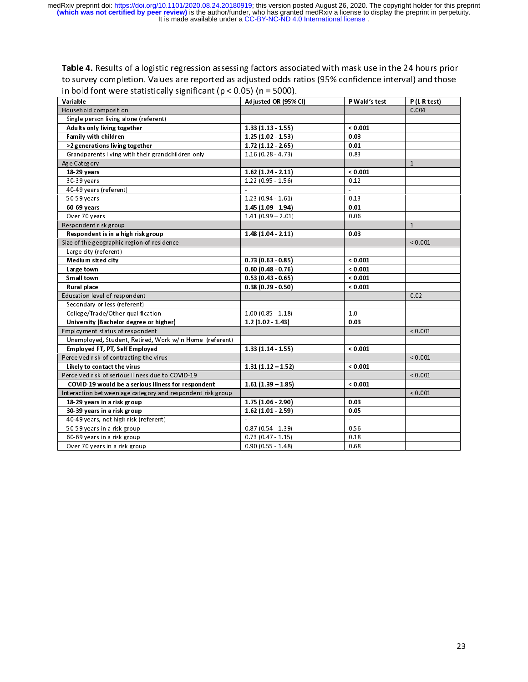**Table 4.** Results of a logistic regression assessing factors associated with mask use in the 24 hours prior to survey completion. Values are reported as adjusted odds ratios (95% confidence interval) and those in bold fo

| Variable                                                   | Adjusted OR (95% CI)     | P Wald's test | P (L-R test) |
|------------------------------------------------------------|--------------------------|---------------|--------------|
| Household composition                                      |                          |               | 0.004        |
| Single person living alone (referent)                      |                          |               |              |
| Adults only living together                                | $1.33(1.13 \t1.55)$      | < 0.001       |              |
| Family with children                                       | $1.25(1.02 - 1.53)$      | 0.03          |              |
| >2 generations living together                             | $1.72(1.12 \cdot 2.65)$  | 0.01          |              |
| Grandparents living with their grandchildren only          | $1.16(0.28 - 4.73)$      | 0.83          |              |
| Age Category                                               |                          |               | $\mathbf{1}$ |
| 18-29 years                                                | 1.62(1.24.2.11)          | 0.001         |              |
| 30-39 years                                                | $1.22(0.95 - 1.56)$      | 0.12          |              |
| 40-49 years (referent)                                     | $\overline{\phantom{a}}$ | ä,            |              |
| 50-59 years                                                | $1.23(0.94 - 1.61)$      | 0.13          |              |
| 60-69 years                                                | 1.45 (1.09 1.94)         | 0.01          |              |
| Over 70 years                                              | $1.41(0.99 - 2.01)$      | 0.06          |              |
| Respondent risk group                                      |                          |               | $\mathbf{1}$ |
| Respondent is in a high risk group                         | 1.48(1.04.211)           | 0.03          |              |
| Size of the geographic region of residence                 |                          |               | < 0.001      |
| Large city (referent)                                      |                          |               |              |
| Medium sized city                                          | 0.73(0.63 0.85)          | < 0.001       |              |
| Large town                                                 | 0.60(0.48 0.76)          | < 0.001       |              |
| Small town                                                 | $0.53(0.43 \cdot 0.65)$  | < 0.001       |              |
| Rural place                                                | 0.38(0.29 0.50)          | 0.001         |              |
| Education level of respondent                              |                          |               | 0.02         |
| Secondary or less (referent)                               |                          |               |              |
| College/Trade/Other qualification                          | $1.00(0.85 - 1.18)$      | 1.0           |              |
| University (Bachelor degree or higher)                     | $1.2(1.02 \quad 1.43)$   | 0.03          |              |
| Employment status of respondent                            |                          |               | < 0.001      |
| Unemployed, Student, Retired, Work w/in Home (referent)    |                          |               |              |
| Employed FT, PT, Self Employed                             | 1 33 (1 14 1 55)         | < 0.001       |              |
| Perceived risk of contracting the virus                    |                          |               | < 0.001      |
| Likely to contact the virus                                | $1.31(1.12 - 1.52)$      | < 0.001       |              |
|                                                            |                          |               |              |
| Perceived risk of serious illness due to COVID-19          |                          |               | < 0.001      |
| COVID-19 would be a serious illness for respondent         | $1.61(1.39 - 1.85)$      | < 0.001       | < 0.001      |
| Interaction between age category and respondent risk group |                          |               |              |
| 18-29 years in a risk group                                | 1 75 (1 06 2 90)         | 0.03<br>0.05  |              |
| 30-39 years in a risk group                                | $1.62(1.01 - 2.59)$      | ä,            |              |
| 40-49 years, not high risk (referent)                      |                          |               |              |
| 50-59 years in a risk group                                | $0.87(0.54 - 1.39)$      | 0.56          |              |
| 60-69 years in a risk group                                | $0.73(0.47 - 1.15)$      | 0.18          |              |
| Over 70 years in a risk group                              | $0.90(0.55 - 1.48)$      | 0.68          |              |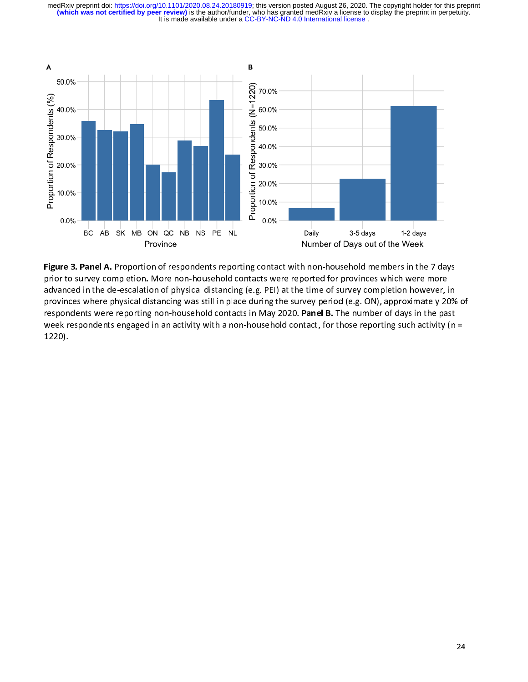It is made available under a [CC-BY-NC-ND 4.0 International license](http://creativecommons.org/licenses/by-nc-nd/4.0/) . **(which was not certified by peer review)** is the author/funder, who has granted medRxiv a license to display the preprint in perpetuity. medRxiv preprint doi: [https://doi.org/10.1101/2020.08.24.20180919;](https://doi.org/10.1101/2020.08.24.20180919) this version posted August 26, 2020. The copyright holder for this preprint



**Figure 3. Panel A.** Proportion of respondents reporting contact with non-household members in the 7 days<br>prior to survey completion. More non-household contacts were reported for provinces which were more advanced in the de-escalation of physical distancing (e.g. PEI) at the time of survey completion however, in advanced in the de-escalation of physical distancing (e.g. PEI) at the time of survey completion however, in respondents were reporting non-household contacts in May 2020. Panel B. The number of days in the past respondents were reporting non-household contacts in May 2020. Panel B. The number of days in the past week respondents engaged in an activity with a non-household contact, for those reporting such activity (n = 1220). of